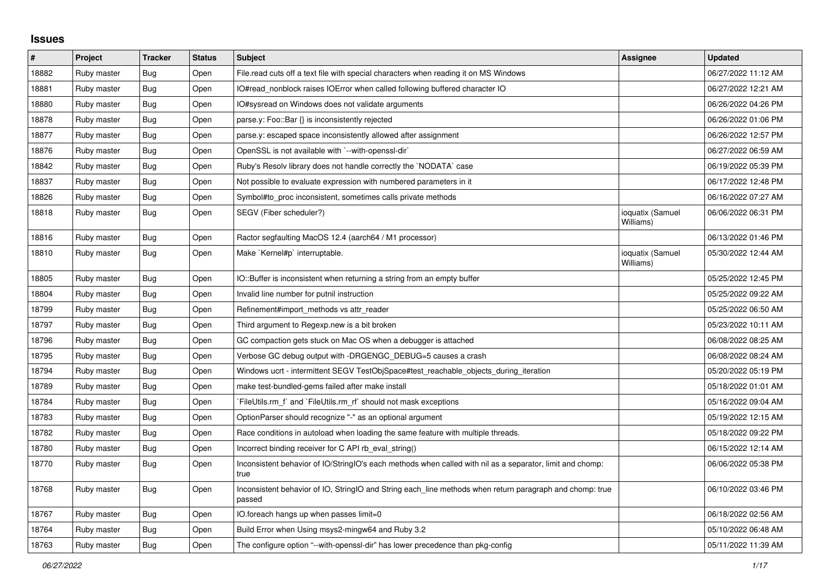## **Issues**

| #     | Project     | <b>Tracker</b> | <b>Status</b> | <b>Subject</b>                                                                                                     | Assignee                      | <b>Updated</b>      |
|-------|-------------|----------------|---------------|--------------------------------------------------------------------------------------------------------------------|-------------------------------|---------------------|
| 18882 | Ruby master | Bug            | Open          | File read cuts off a text file with special characters when reading it on MS Windows                               |                               | 06/27/2022 11:12 AM |
| 18881 | Ruby master | Bug            | Open          | IO#read_nonblock raises IOError when called following buffered character IO                                        |                               | 06/27/2022 12:21 AM |
| 18880 | Ruby master | <b>Bug</b>     | Open          | IO#sysread on Windows does not validate arguments                                                                  |                               | 06/26/2022 04:26 PM |
| 18878 | Ruby master | Bug            | Open          | parse.y: Foo::Bar {} is inconsistently rejected                                                                    |                               | 06/26/2022 01:06 PM |
| 18877 | Ruby master | Bug            | Open          | parse y: escaped space inconsistently allowed after assignment                                                     |                               | 06/26/2022 12:57 PM |
| 18876 | Ruby master | Bug            | Open          | OpenSSL is not available with `--with-openssl-dir`                                                                 |                               | 06/27/2022 06:59 AM |
| 18842 | Ruby master | <b>Bug</b>     | Open          | Ruby's Resolv library does not handle correctly the `NODATA` case                                                  |                               | 06/19/2022 05:39 PM |
| 18837 | Ruby master | Bug            | Open          | Not possible to evaluate expression with numbered parameters in it                                                 |                               | 06/17/2022 12:48 PM |
| 18826 | Ruby master | Bug            | Open          | Symbol#to_proc inconsistent, sometimes calls private methods                                                       |                               | 06/16/2022 07:27 AM |
| 18818 | Ruby master | Bug            | Open          | SEGV (Fiber scheduler?)                                                                                            | ioquatix (Samuel<br>Williams) | 06/06/2022 06:31 PM |
| 18816 | Ruby master | <b>Bug</b>     | Open          | Ractor segfaulting MacOS 12.4 (aarch64 / M1 processor)                                                             |                               | 06/13/2022 01:46 PM |
| 18810 | Ruby master | Bug            | Open          | Make `Kernel#p` interruptable.                                                                                     | ioquatix (Samuel<br>Williams) | 05/30/2022 12:44 AM |
| 18805 | Ruby master | Bug            | Open          | IO::Buffer is inconsistent when returning a string from an empty buffer                                            |                               | 05/25/2022 12:45 PM |
| 18804 | Ruby master | Bug            | Open          | Invalid line number for putnil instruction                                                                         |                               | 05/25/2022 09:22 AM |
| 18799 | Ruby master | Bug            | Open          | Refinement#import_methods vs attr_reader                                                                           |                               | 05/25/2022 06:50 AM |
| 18797 | Ruby master | Bug            | Open          | Third argument to Regexp.new is a bit broken                                                                       |                               | 05/23/2022 10:11 AM |
| 18796 | Ruby master | Bug            | Open          | GC compaction gets stuck on Mac OS when a debugger is attached                                                     |                               | 06/08/2022 08:25 AM |
| 18795 | Ruby master | Bug            | Open          | Verbose GC debug output with -DRGENGC_DEBUG=5 causes a crash                                                       |                               | 06/08/2022 08:24 AM |
| 18794 | Ruby master | Bug            | Open          | Windows ucrt - intermittent SEGV TestObjSpace#test_reachable_objects_during_iteration                              |                               | 05/20/2022 05:19 PM |
| 18789 | Ruby master | Bug            | Open          | make test-bundled-gems failed after make install                                                                   |                               | 05/18/2022 01:01 AM |
| 18784 | Ruby master | Bug            | Open          | FileUtils.rm f and `FileUtils.rm rf should not mask exceptions                                                     |                               | 05/16/2022 09:04 AM |
| 18783 | Ruby master | Bug            | Open          | OptionParser should recognize "-" as an optional argument                                                          |                               | 05/19/2022 12:15 AM |
| 18782 | Ruby master | <b>Bug</b>     | Open          | Race conditions in autoload when loading the same feature with multiple threads.                                   |                               | 05/18/2022 09:22 PM |
| 18780 | Ruby master | Bug            | Open          | Incorrect binding receiver for C API rb eval string()                                                              |                               | 06/15/2022 12:14 AM |
| 18770 | Ruby master | Bug            | Open          | Inconsistent behavior of IO/StringIO's each methods when called with nil as a separator, limit and chomp:<br>true  |                               | 06/06/2022 05:38 PM |
| 18768 | Ruby master | Bug            | Open          | Inconsistent behavior of IO, StringIO and String each_line methods when return paragraph and chomp: true<br>passed |                               | 06/10/2022 03:46 PM |
| 18767 | Ruby master | <b>Bug</b>     | Open          | IO.foreach hangs up when passes limit=0                                                                            |                               | 06/18/2022 02:56 AM |
| 18764 | Ruby master | <b>Bug</b>     | Open          | Build Error when Using msys2-mingw64 and Ruby 3.2                                                                  |                               | 05/10/2022 06:48 AM |
| 18763 | Ruby master | Bug            | Open          | The configure option "--with-openssl-dir" has lower precedence than pkg-config                                     |                               | 05/11/2022 11:39 AM |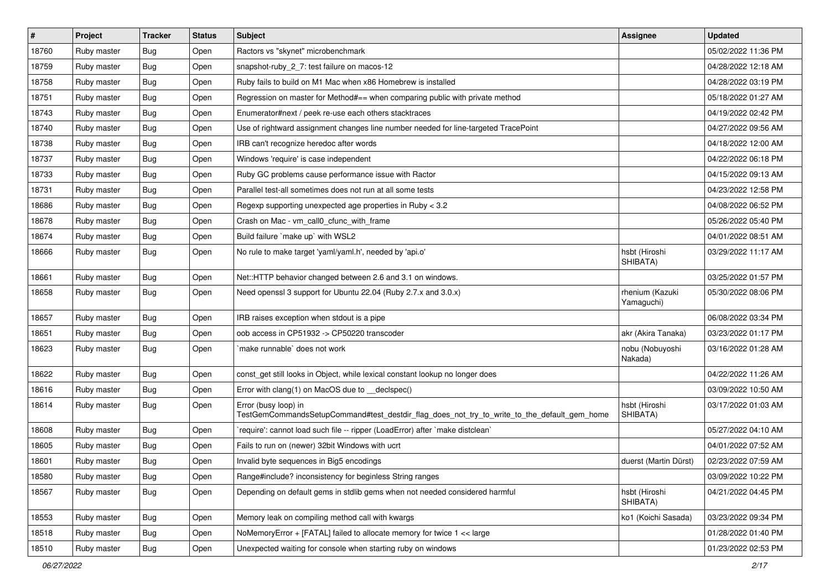| $\sharp$ | Project     | <b>Tracker</b> | <b>Status</b> | Subject                                                                                                             | <b>Assignee</b>               | <b>Updated</b>      |
|----------|-------------|----------------|---------------|---------------------------------------------------------------------------------------------------------------------|-------------------------------|---------------------|
| 18760    | Ruby master | Bug            | Open          | Ractors vs "skynet" microbenchmark                                                                                  |                               | 05/02/2022 11:36 PM |
| 18759    | Ruby master | <b>Bug</b>     | Open          | snapshot-ruby_2_7: test failure on macos-12                                                                         |                               | 04/28/2022 12:18 AM |
| 18758    | Ruby master | Bug            | Open          | Ruby fails to build on M1 Mac when x86 Homebrew is installed                                                        |                               | 04/28/2022 03:19 PM |
| 18751    | Ruby master | <b>Bug</b>     | Open          | Regression on master for Method#== when comparing public with private method                                        |                               | 05/18/2022 01:27 AM |
| 18743    | Ruby master | <b>Bug</b>     | Open          | Enumerator#next / peek re-use each others stacktraces                                                               |                               | 04/19/2022 02:42 PM |
| 18740    | Ruby master | <b>Bug</b>     | Open          | Use of rightward assignment changes line number needed for line-targeted TracePoint                                 |                               | 04/27/2022 09:56 AM |
| 18738    | Ruby master | <b>Bug</b>     | Open          | IRB can't recognize heredoc after words                                                                             |                               | 04/18/2022 12:00 AM |
| 18737    | Ruby master | <b>Bug</b>     | Open          | Windows 'require' is case independent                                                                               |                               | 04/22/2022 06:18 PM |
| 18733    | Ruby master | <b>Bug</b>     | Open          | Ruby GC problems cause performance issue with Ractor                                                                |                               | 04/15/2022 09:13 AM |
| 18731    | Ruby master | <b>Bug</b>     | Open          | Parallel test-all sometimes does not run at all some tests                                                          |                               | 04/23/2022 12:58 PM |
| 18686    | Ruby master | <b>Bug</b>     | Open          | Regexp supporting unexpected age properties in Ruby < 3.2                                                           |                               | 04/08/2022 06:52 PM |
| 18678    | Ruby master | <b>Bug</b>     | Open          | Crash on Mac - vm_call0_cfunc_with_frame                                                                            |                               | 05/26/2022 05:40 PM |
| 18674    | Ruby master | <b>Bug</b>     | Open          | Build failure `make up` with WSL2                                                                                   |                               | 04/01/2022 08:51 AM |
| 18666    | Ruby master | <b>Bug</b>     | Open          | No rule to make target 'yaml/yaml.h', needed by 'api.o'                                                             | hsbt (Hiroshi<br>SHIBATA)     | 03/29/2022 11:17 AM |
| 18661    | Ruby master | <b>Bug</b>     | Open          | Net::HTTP behavior changed between 2.6 and 3.1 on windows.                                                          |                               | 03/25/2022 01:57 PM |
| 18658    | Ruby master | <b>Bug</b>     | Open          | Need openssl 3 support for Ubuntu 22.04 (Ruby 2.7.x and 3.0.x)                                                      | rhenium (Kazuki<br>Yamaguchi) | 05/30/2022 08:06 PM |
| 18657    | Ruby master | Bug            | Open          | IRB raises exception when stdout is a pipe                                                                          |                               | 06/08/2022 03:34 PM |
| 18651    | Ruby master | <b>Bug</b>     | Open          | oob access in CP51932 -> CP50220 transcoder                                                                         | akr (Akira Tanaka)            | 03/23/2022 01:17 PM |
| 18623    | Ruby master | <b>Bug</b>     | Open          | make runnable' does not work                                                                                        | nobu (Nobuyoshi<br>Nakada)    | 03/16/2022 01:28 AM |
| 18622    | Ruby master | <b>Bug</b>     | Open          | const_get still looks in Object, while lexical constant lookup no longer does                                       |                               | 04/22/2022 11:26 AM |
| 18616    | Ruby master | <b>Bug</b>     | Open          | Error with clang(1) on MacOS due to _declspec()                                                                     |                               | 03/09/2022 10:50 AM |
| 18614    | Ruby master | <b>Bug</b>     | Open          | Error (busy loop) in<br>TestGemCommandsSetupCommand#test_destdir_flag_does_not_try_to_write_to_the_default_gem_home | hsbt (Hiroshi<br>SHIBATA)     | 03/17/2022 01:03 AM |
| 18608    | Ruby master | <b>Bug</b>     | Open          | 'require': cannot load such file -- ripper (LoadError) after 'make distclean'                                       |                               | 05/27/2022 04:10 AM |
| 18605    | Ruby master | <b>Bug</b>     | Open          | Fails to run on (newer) 32bit Windows with ucrt                                                                     |                               | 04/01/2022 07:52 AM |
| 18601    | Ruby master | <b>Bug</b>     | Open          | Invalid byte sequences in Big5 encodings                                                                            | duerst (Martin Dürst)         | 02/23/2022 07:59 AM |
| 18580    | Ruby master | Bug            | Open          | Range#include? inconsistency for beginless String ranges                                                            |                               | 03/09/2022 10:22 PM |
| 18567    | Ruby master | <b>Bug</b>     | Open          | Depending on default gems in stdlib gems when not needed considered harmful                                         | hsbt (Hiroshi<br>SHIBATA)     | 04/21/2022 04:45 PM |
| 18553    | Ruby master | <b>Bug</b>     | Open          | Memory leak on compiling method call with kwargs                                                                    | ko1 (Koichi Sasada)           | 03/23/2022 09:34 PM |
| 18518    | Ruby master | <b>Bug</b>     | Open          | NoMemoryError + [FATAL] failed to allocate memory for twice 1 << large                                              |                               | 01/28/2022 01:40 PM |
| 18510    | Ruby master | Bug            | Open          | Unexpected waiting for console when starting ruby on windows                                                        |                               | 01/23/2022 02:53 PM |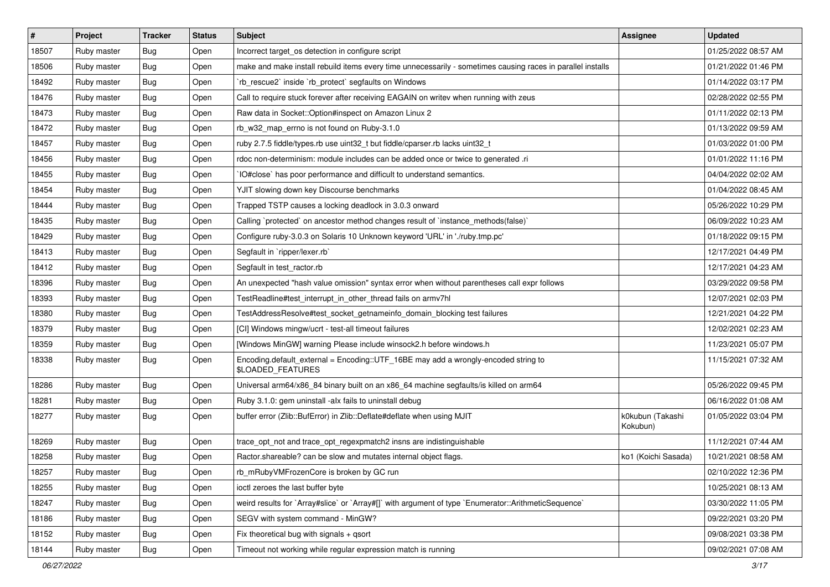| $\vert$ # | Project     | <b>Tracker</b> | <b>Status</b> | <b>Subject</b>                                                                                              | <b>Assignee</b>              | <b>Updated</b>      |
|-----------|-------------|----------------|---------------|-------------------------------------------------------------------------------------------------------------|------------------------------|---------------------|
| 18507     | Ruby master | <b>Bug</b>     | Open          | Incorrect target os detection in configure script                                                           |                              | 01/25/2022 08:57 AM |
| 18506     | Ruby master | Bug            | Open          | make and make install rebuild items every time unnecessarily - sometimes causing races in parallel installs |                              | 01/21/2022 01:46 PM |
| 18492     | Ruby master | Bug            | Open          | rb_rescue2` inside `rb_protect` segfaults on Windows                                                        |                              | 01/14/2022 03:17 PM |
| 18476     | Ruby master | <b>Bug</b>     | Open          | Call to require stuck forever after receiving EAGAIN on writev when running with zeus                       |                              | 02/28/2022 02:55 PM |
| 18473     | Ruby master | <b>Bug</b>     | Open          | Raw data in Socket::Option#inspect on Amazon Linux 2                                                        |                              | 01/11/2022 02:13 PM |
| 18472     | Ruby master | <b>Bug</b>     | Open          | rb w32 map errno is not found on Ruby-3.1.0                                                                 |                              | 01/13/2022 09:59 AM |
| 18457     | Ruby master | <b>Bug</b>     | Open          | ruby 2.7.5 fiddle/types.rb use uint32_t but fiddle/cparser.rb lacks uint32_t                                |                              | 01/03/2022 01:00 PM |
| 18456     | Ruby master | Bug            | Open          | rdoc non-determinism: module includes can be added once or twice to generated .ri                           |                              | 01/01/2022 11:16 PM |
| 18455     | Ruby master | <b>Bug</b>     | Open          | IO#close` has poor performance and difficult to understand semantics.                                       |                              | 04/04/2022 02:02 AM |
| 18454     | Ruby master | Bug            | Open          | YJIT slowing down key Discourse benchmarks                                                                  |                              | 01/04/2022 08:45 AM |
| 18444     | Ruby master | Bug            | Open          | Trapped TSTP causes a locking deadlock in 3.0.3 onward                                                      |                              | 05/26/2022 10:29 PM |
| 18435     | Ruby master | <b>Bug</b>     | Open          | Calling `protected` on ancestor method changes result of `instance_methods(false)`                          |                              | 06/09/2022 10:23 AM |
| 18429     | Ruby master | Bug            | Open          | Configure ruby-3.0.3 on Solaris 10 Unknown keyword 'URL' in './ruby.tmp.pc'                                 |                              | 01/18/2022 09:15 PM |
| 18413     | Ruby master | <b>Bug</b>     | Open          | Segfault in `ripper/lexer.rb`                                                                               |                              | 12/17/2021 04:49 PM |
| 18412     | Ruby master | <b>Bug</b>     | Open          | Segfault in test_ractor.rb                                                                                  |                              | 12/17/2021 04:23 AM |
| 18396     | Ruby master | <b>Bug</b>     | Open          | An unexpected "hash value omission" syntax error when without parentheses call expr follows                 |                              | 03/29/2022 09:58 PM |
| 18393     | Ruby master | <b>Bug</b>     | Open          | TestReadline#test_interrupt_in_other_thread fails on armv7hl                                                |                              | 12/07/2021 02:03 PM |
| 18380     | Ruby master | <b>Bug</b>     | Open          | TestAddressResolve#test_socket_getnameinfo_domain_blocking test failures                                    |                              | 12/21/2021 04:22 PM |
| 18379     | Ruby master | <b>Bug</b>     | Open          | [CI] Windows mingw/ucrt - test-all timeout failures                                                         |                              | 12/02/2021 02:23 AM |
| 18359     | Ruby master | <b>Bug</b>     | Open          | [Windows MinGW] warning Please include winsock2.h before windows.h                                          |                              | 11/23/2021 05:07 PM |
| 18338     | Ruby master | <b>Bug</b>     | Open          | Encoding.default_external = Encoding::UTF_16BE may add a wrongly-encoded string to<br>\$LOADED_FEATURES     |                              | 11/15/2021 07:32 AM |
| 18286     | Ruby master | Bug            | Open          | Universal arm64/x86_84 binary built on an x86_64 machine segfaults/is killed on arm64                       |                              | 05/26/2022 09:45 PM |
| 18281     | Ruby master | <b>Bug</b>     | Open          | Ruby 3.1.0: gem uninstall -alx fails to uninstall debug                                                     |                              | 06/16/2022 01:08 AM |
| 18277     | Ruby master | Bug            | Open          | buffer error (Zlib::BufError) in Zlib::Deflate#deflate when using MJIT                                      | k0kubun (Takashi<br>Kokubun) | 01/05/2022 03:04 PM |
| 18269     | Ruby master | Bug            | Open          | trace_opt_not and trace_opt_regexpmatch2 insns are indistinguishable                                        |                              | 11/12/2021 07:44 AM |
| 18258     | Ruby master | <b>Bug</b>     | Open          | Ractor shareable? can be slow and mutates internal object flags.                                            | ko1 (Koichi Sasada)          | 10/21/2021 08:58 AM |
| 18257     | Ruby master | Bug            | Open          | rb_mRubyVMFrozenCore is broken by GC run                                                                    |                              | 02/10/2022 12:36 PM |
| 18255     | Ruby master | <b>Bug</b>     | Open          | ioctl zeroes the last buffer byte                                                                           |                              | 10/25/2021 08:13 AM |
| 18247     | Ruby master | Bug            | Open          | weird results for `Array#slice` or `Array#[]` with argument of type `Enumerator::ArithmeticSequence`        |                              | 03/30/2022 11:05 PM |
| 18186     | Ruby master | <b>Bug</b>     | Open          | SEGV with system command - MinGW?                                                                           |                              | 09/22/2021 03:20 PM |
| 18152     | Ruby master | <b>Bug</b>     | Open          | Fix theoretical bug with signals + qsort                                                                    |                              | 09/08/2021 03:38 PM |
| 18144     | Ruby master | <b>Bug</b>     | Open          | Timeout not working while regular expression match is running                                               |                              | 09/02/2021 07:08 AM |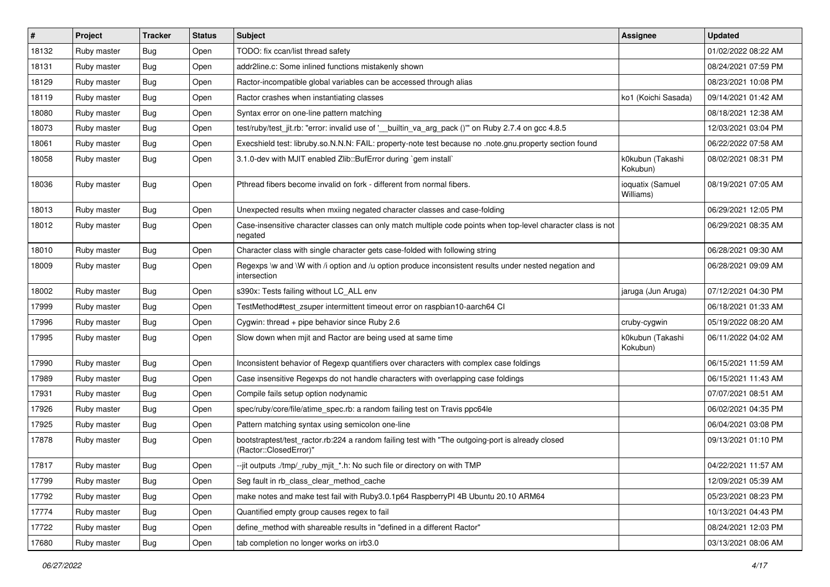| #     | Project     | <b>Tracker</b> | <b>Status</b> | Subject                                                                                                                    | Assignee                      | <b>Updated</b>      |
|-------|-------------|----------------|---------------|----------------------------------------------------------------------------------------------------------------------------|-------------------------------|---------------------|
| 18132 | Ruby master | Bug            | Open          | TODO: fix ccan/list thread safety                                                                                          |                               | 01/02/2022 08:22 AM |
| 18131 | Ruby master | Bug            | Open          | addr2line.c: Some inlined functions mistakenly shown                                                                       |                               | 08/24/2021 07:59 PM |
| 18129 | Ruby master | <b>Bug</b>     | Open          | Ractor-incompatible global variables can be accessed through alias                                                         |                               | 08/23/2021 10:08 PM |
| 18119 | Ruby master | <b>Bug</b>     | Open          | Ractor crashes when instantiating classes                                                                                  | ko1 (Koichi Sasada)           | 09/14/2021 01:42 AM |
| 18080 | Ruby master | Bug            | Open          | Syntax error on one-line pattern matching                                                                                  |                               | 08/18/2021 12:38 AM |
| 18073 | Ruby master | <b>Bug</b>     | Open          | test/ruby/test_jit.rb: "error: invalid use of '__builtin_va_arg_pack ()"' on Ruby 2.7.4 on gcc 4.8.5                       |                               | 12/03/2021 03:04 PM |
| 18061 | Ruby master | Bug            | Open          | Execshield test: libruby.so.N.N.N: FAIL: property-note test because no .note.gnu.property section found                    |                               | 06/22/2022 07:58 AM |
| 18058 | Ruby master | <b>Bug</b>     | Open          | 3.1.0-dev with MJIT enabled Zlib::BufError during `gem install`                                                            | k0kubun (Takashi<br>Kokubun)  | 08/02/2021 08:31 PM |
| 18036 | Ruby master | <b>Bug</b>     | Open          | Pthread fibers become invalid on fork - different from normal fibers.                                                      | ioquatix (Samuel<br>Williams) | 08/19/2021 07:05 AM |
| 18013 | Ruby master | Bug            | Open          | Unexpected results when mxiing negated character classes and case-folding                                                  |                               | 06/29/2021 12:05 PM |
| 18012 | Ruby master | Bug            | Open          | Case-insensitive character classes can only match multiple code points when top-level character class is not<br>negated    |                               | 06/29/2021 08:35 AM |
| 18010 | Ruby master | Bug            | Open          | Character class with single character gets case-folded with following string                                               |                               | 06/28/2021 09:30 AM |
| 18009 | Ruby master | Bug            | Open          | Regexps \w and \W with /i option and /u option produce inconsistent results under nested negation and<br>intersection      |                               | 06/28/2021 09:09 AM |
| 18002 | Ruby master | <b>Bug</b>     | Open          | s390x: Tests failing without LC_ALL env                                                                                    | jaruga (Jun Aruga)            | 07/12/2021 04:30 PM |
| 17999 | Ruby master | <b>Bug</b>     | Open          | TestMethod#test_zsuper intermittent timeout error on raspbian10-aarch64 Cl                                                 |                               | 06/18/2021 01:33 AM |
| 17996 | Ruby master | <b>Bug</b>     | Open          | Cygwin: thread + pipe behavior since Ruby 2.6                                                                              | cruby-cygwin                  | 05/19/2022 08:20 AM |
| 17995 | Ruby master | Bug            | Open          | Slow down when mjit and Ractor are being used at same time                                                                 | k0kubun (Takashi<br>Kokubun)  | 06/11/2022 04:02 AM |
| 17990 | Ruby master | Bug            | Open          | Inconsistent behavior of Regexp quantifiers over characters with complex case foldings                                     |                               | 06/15/2021 11:59 AM |
| 17989 | Ruby master | <b>Bug</b>     | Open          | Case insensitive Regexps do not handle characters with overlapping case foldings                                           |                               | 06/15/2021 11:43 AM |
| 17931 | Ruby master | <b>Bug</b>     | Open          | Compile fails setup option nodynamic                                                                                       |                               | 07/07/2021 08:51 AM |
| 17926 | Ruby master | <b>Bug</b>     | Open          | spec/ruby/core/file/atime_spec.rb: a random failing test on Travis ppc64le                                                 |                               | 06/02/2021 04:35 PM |
| 17925 | Ruby master | <b>Bug</b>     | Open          | Pattern matching syntax using semicolon one-line                                                                           |                               | 06/04/2021 03:08 PM |
| 17878 | Ruby master | <b>Bug</b>     | Open          | bootstraptest/test_ractor.rb:224 a random failing test with "The outgoing-port is already closed<br>(Ractor::ClosedError)" |                               | 09/13/2021 01:10 PM |
| 17817 | Ruby master | Bug            | Open          | --jit outputs ./tmp/_ruby_mjit_*.h: No such file or directory on with TMP                                                  |                               | 04/22/2021 11:57 AM |
| 17799 | Ruby master | <b>Bug</b>     | Open          | Seg fault in rb_class_clear_method_cache                                                                                   |                               | 12/09/2021 05:39 AM |
| 17792 | Ruby master | <b>Bug</b>     | Open          | make notes and make test fail with Ruby3.0.1p64 RaspberryPI 4B Ubuntu 20.10 ARM64                                          |                               | 05/23/2021 08:23 PM |
| 17774 | Ruby master | <b>Bug</b>     | Open          | Quantified empty group causes regex to fail                                                                                |                               | 10/13/2021 04:43 PM |
| 17722 | Ruby master | Bug            | Open          | define_method with shareable results in "defined in a different Ractor"                                                    |                               | 08/24/2021 12:03 PM |
| 17680 | Ruby master | Bug            | Open          | tab completion no longer works on irb3.0                                                                                   |                               | 03/13/2021 08:06 AM |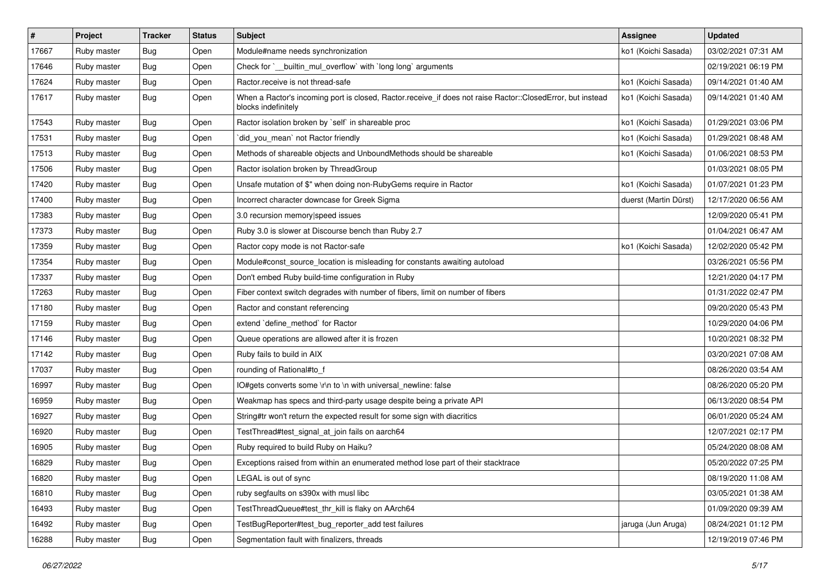| $\sharp$ | Project     | <b>Tracker</b> | <b>Status</b> | Subject                                                                                                                           | <b>Assignee</b>       | <b>Updated</b>      |
|----------|-------------|----------------|---------------|-----------------------------------------------------------------------------------------------------------------------------------|-----------------------|---------------------|
| 17667    | Ruby master | Bug            | Open          | Module#name needs synchronization                                                                                                 | ko1 (Koichi Sasada)   | 03/02/2021 07:31 AM |
| 17646    | Ruby master | Bug            | Open          | Check for `__builtin_mul_overflow` with `long long` arguments                                                                     |                       | 02/19/2021 06:19 PM |
| 17624    | Ruby master | <b>Bug</b>     | Open          | Ractor.receive is not thread-safe                                                                                                 | ko1 (Koichi Sasada)   | 09/14/2021 01:40 AM |
| 17617    | Ruby master | <b>Bug</b>     | Open          | When a Ractor's incoming port is closed, Ractor.receive_if does not raise Ractor::ClosedError, but instead<br>blocks indefinitely | ko1 (Koichi Sasada)   | 09/14/2021 01:40 AM |
| 17543    | Ruby master | Bug            | Open          | Ractor isolation broken by `self` in shareable proc                                                                               | ko1 (Koichi Sasada)   | 01/29/2021 03:06 PM |
| 17531    | Ruby master | Bug            | Open          | did_you_mean' not Ractor friendly                                                                                                 | ko1 (Koichi Sasada)   | 01/29/2021 08:48 AM |
| 17513    | Ruby master | <b>Bug</b>     | Open          | Methods of shareable objects and UnboundMethods should be shareable                                                               | ko1 (Koichi Sasada)   | 01/06/2021 08:53 PM |
| 17506    | Ruby master | <b>Bug</b>     | Open          | Ractor isolation broken by ThreadGroup                                                                                            |                       | 01/03/2021 08:05 PM |
| 17420    | Ruby master | <b>Bug</b>     | Open          | Unsafe mutation of \$" when doing non-RubyGems require in Ractor                                                                  | ko1 (Koichi Sasada)   | 01/07/2021 01:23 PM |
| 17400    | Ruby master | <b>Bug</b>     | Open          | Incorrect character downcase for Greek Sigma                                                                                      | duerst (Martin Dürst) | 12/17/2020 06:56 AM |
| 17383    | Ruby master | <b>Bug</b>     | Open          | 3.0 recursion memory speed issues                                                                                                 |                       | 12/09/2020 05:41 PM |
| 17373    | Ruby master | <b>Bug</b>     | Open          | Ruby 3.0 is slower at Discourse bench than Ruby 2.7                                                                               |                       | 01/04/2021 06:47 AM |
| 17359    | Ruby master | <b>Bug</b>     | Open          | Ractor copy mode is not Ractor-safe                                                                                               | ko1 (Koichi Sasada)   | 12/02/2020 05:42 PM |
| 17354    | Ruby master | Bug            | Open          | Module#const_source_location is misleading for constants awaiting autoload                                                        |                       | 03/26/2021 05:56 PM |
| 17337    | Ruby master | <b>Bug</b>     | Open          | Don't embed Ruby build-time configuration in Ruby                                                                                 |                       | 12/21/2020 04:17 PM |
| 17263    | Ruby master | <b>Bug</b>     | Open          | Fiber context switch degrades with number of fibers, limit on number of fibers                                                    |                       | 01/31/2022 02:47 PM |
| 17180    | Ruby master | Bug            | Open          | Ractor and constant referencing                                                                                                   |                       | 09/20/2020 05:43 PM |
| 17159    | Ruby master | <b>Bug</b>     | Open          | extend `define_method` for Ractor                                                                                                 |                       | 10/29/2020 04:06 PM |
| 17146    | Ruby master | <b>Bug</b>     | Open          | Queue operations are allowed after it is frozen                                                                                   |                       | 10/20/2021 08:32 PM |
| 17142    | Ruby master | <b>Bug</b>     | Open          | Ruby fails to build in AIX                                                                                                        |                       | 03/20/2021 07:08 AM |
| 17037    | Ruby master | <b>Bug</b>     | Open          | rounding of Rational#to_f                                                                                                         |                       | 08/26/2020 03:54 AM |
| 16997    | Ruby master | <b>Bug</b>     | Open          | IO#gets converts some \r\n to \n with universal_newline: false                                                                    |                       | 08/26/2020 05:20 PM |
| 16959    | Ruby master | <b>Bug</b>     | Open          | Weakmap has specs and third-party usage despite being a private API                                                               |                       | 06/13/2020 08:54 PM |
| 16927    | Ruby master | <b>Bug</b>     | Open          | String#tr won't return the expected result for some sign with diacritics                                                          |                       | 06/01/2020 05:24 AM |
| 16920    | Ruby master | <b>Bug</b>     | Open          | TestThread#test_signal_at_join fails on aarch64                                                                                   |                       | 12/07/2021 02:17 PM |
| 16905    | Ruby master | <b>Bug</b>     | Open          | Ruby required to build Ruby on Haiku?                                                                                             |                       | 05/24/2020 08:08 AM |
| 16829    | Ruby master | <b>Bug</b>     | Open          | Exceptions raised from within an enumerated method lose part of their stacktrace                                                  |                       | 05/20/2022 07:25 PM |
| 16820    | Ruby master | <b>Bug</b>     | Open          | LEGAL is out of sync                                                                                                              |                       | 08/19/2020 11:08 AM |
| 16810    | Ruby master | <b>Bug</b>     | Open          | ruby segfaults on s390x with musl libc                                                                                            |                       | 03/05/2021 01:38 AM |
| 16493    | Ruby master | <b>Bug</b>     | Open          | TestThreadQueue#test_thr_kill is flaky on AArch64                                                                                 |                       | 01/09/2020 09:39 AM |
| 16492    | Ruby master | Bug            | Open          | TestBugReporter#test bug reporter add test failures                                                                               | jaruga (Jun Aruga)    | 08/24/2021 01:12 PM |
| 16288    | Ruby master | Bug            | Open          | Segmentation fault with finalizers, threads                                                                                       |                       | 12/19/2019 07:46 PM |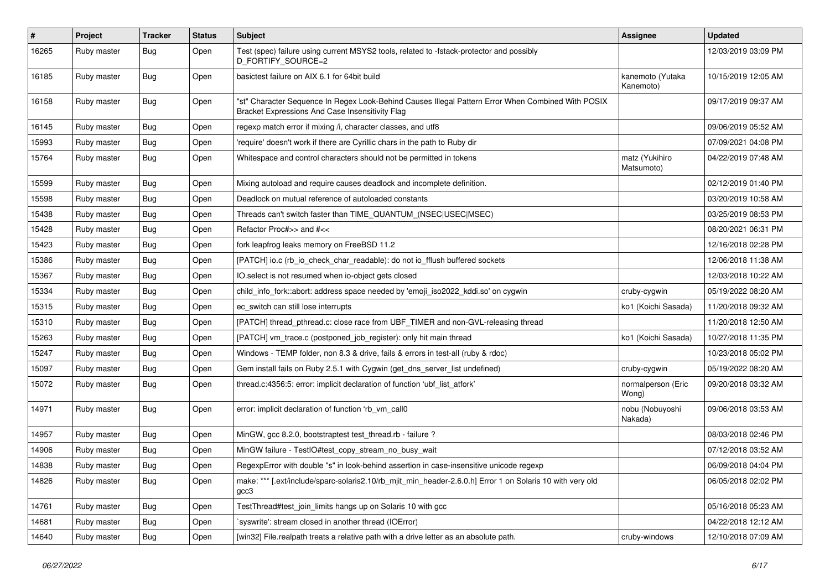| $\sharp$ | Project     | <b>Tracker</b> | <b>Status</b> | <b>Subject</b>                                                                                                                                        | <b>Assignee</b>               | <b>Updated</b>      |
|----------|-------------|----------------|---------------|-------------------------------------------------------------------------------------------------------------------------------------------------------|-------------------------------|---------------------|
| 16265    | Ruby master | Bug            | Open          | Test (spec) failure using current MSYS2 tools, related to -fstack-protector and possibly<br>D_FORTIFY_SOURCE=2                                        |                               | 12/03/2019 03:09 PM |
| 16185    | Ruby master | <b>Bug</b>     | Open          | basictest failure on AIX 6.1 for 64bit build                                                                                                          | kanemoto (Yutaka<br>Kanemoto) | 10/15/2019 12:05 AM |
| 16158    | Ruby master | <b>Bug</b>     | Open          | "st" Character Sequence In Regex Look-Behind Causes Illegal Pattern Error When Combined With POSIX<br>Bracket Expressions And Case Insensitivity Flag |                               | 09/17/2019 09:37 AM |
| 16145    | Ruby master | <b>Bug</b>     | Open          | regexp match error if mixing /i, character classes, and utf8                                                                                          |                               | 09/06/2019 05:52 AM |
| 15993    | Ruby master | <b>Bug</b>     | Open          | 'require' doesn't work if there are Cyrillic chars in the path to Ruby dir                                                                            |                               | 07/09/2021 04:08 PM |
| 15764    | Ruby master | Bug            | Open          | Whitespace and control characters should not be permitted in tokens                                                                                   | matz (Yukihiro<br>Matsumoto)  | 04/22/2019 07:48 AM |
| 15599    | Ruby master | Bug            | Open          | Mixing autoload and require causes deadlock and incomplete definition.                                                                                |                               | 02/12/2019 01:40 PM |
| 15598    | Ruby master | <b>Bug</b>     | Open          | Deadlock on mutual reference of autoloaded constants                                                                                                  |                               | 03/20/2019 10:58 AM |
| 15438    | Ruby master | Bug            | Open          | Threads can't switch faster than TIME_QUANTUM_(NSEC USEC MSEC)                                                                                        |                               | 03/25/2019 08:53 PM |
| 15428    | Ruby master | Bug            | Open          | Refactor Proc#>> and #<<                                                                                                                              |                               | 08/20/2021 06:31 PM |
| 15423    | Ruby master | <b>Bug</b>     | Open          | fork leapfrog leaks memory on FreeBSD 11.2                                                                                                            |                               | 12/16/2018 02:28 PM |
| 15386    | Ruby master | Bug            | Open          | [PATCH] io.c (rb_io_check_char_readable): do not io_fflush buffered sockets                                                                           |                               | 12/06/2018 11:38 AM |
| 15367    | Ruby master | <b>Bug</b>     | Open          | IO.select is not resumed when io-object gets closed                                                                                                   |                               | 12/03/2018 10:22 AM |
| 15334    | Ruby master | Bug            | Open          | child_info_fork::abort: address space needed by 'emoji_iso2022_kddi.so' on cygwin                                                                     | cruby-cygwin                  | 05/19/2022 08:20 AM |
| 15315    | Ruby master | <b>Bug</b>     | Open          | ec_switch can still lose interrupts                                                                                                                   | ko1 (Koichi Sasada)           | 11/20/2018 09:32 AM |
| 15310    | Ruby master | <b>Bug</b>     | Open          | [PATCH] thread_pthread.c: close race from UBF_TIMER and non-GVL-releasing thread                                                                      |                               | 11/20/2018 12:50 AM |
| 15263    | Ruby master | Bug            | Open          | [PATCH] vm_trace.c (postponed_job_register): only hit main thread                                                                                     | ko1 (Koichi Sasada)           | 10/27/2018 11:35 PM |
| 15247    | Ruby master | <b>Bug</b>     | Open          | Windows - TEMP folder, non 8.3 & drive, fails & errors in test-all (ruby & rdoc)                                                                      |                               | 10/23/2018 05:02 PM |
| 15097    | Ruby master | Bug            | Open          | Gem install fails on Ruby 2.5.1 with Cygwin (get_dns_server_list undefined)                                                                           | cruby-cygwin                  | 05/19/2022 08:20 AM |
| 15072    | Ruby master | <b>Bug</b>     | Open          | thread.c:4356:5: error: implicit declaration of function 'ubf_list_atfork'                                                                            | normalperson (Eric<br>Wong)   | 09/20/2018 03:32 AM |
| 14971    | Ruby master | <b>Bug</b>     | Open          | error: implicit declaration of function 'rb_vm_call0                                                                                                  | nobu (Nobuyoshi<br>Nakada)    | 09/06/2018 03:53 AM |
| 14957    | Ruby master | <b>Bug</b>     | Open          | MinGW, gcc 8.2.0, bootstraptest test_thread.rb - failure ?                                                                                            |                               | 08/03/2018 02:46 PM |
| 14906    | Ruby master | <b>Bug</b>     | Open          | MinGW failure - TestIO#test_copy_stream_no_busy_wait                                                                                                  |                               | 07/12/2018 03:52 AM |
| 14838    | Ruby master | Bug            | Open          | RegexpError with double "s" in look-behind assertion in case-insensitive unicode regexp                                                               |                               | 06/09/2018 04:04 PM |
| 14826    | Ruby master | <b>Bug</b>     | Open          | make: *** [.ext/include/sparc-solaris2.10/rb_mjit_min_header-2.6.0.h] Error 1 on Solaris 10 with very old<br>gcc3                                     |                               | 06/05/2018 02:02 PM |
| 14761    | Ruby master | <b>Bug</b>     | Open          | TestThread#test_join_limits hangs up on Solaris 10 with gcc                                                                                           |                               | 05/16/2018 05:23 AM |
| 14681    | Ruby master | <b>Bug</b>     | Open          | `syswrite': stream closed in another thread (IOError)                                                                                                 |                               | 04/22/2018 12:12 AM |
| 14640    | Ruby master | Bug            | Open          | [win32] File.realpath treats a relative path with a drive letter as an absolute path.                                                                 | cruby-windows                 | 12/10/2018 07:09 AM |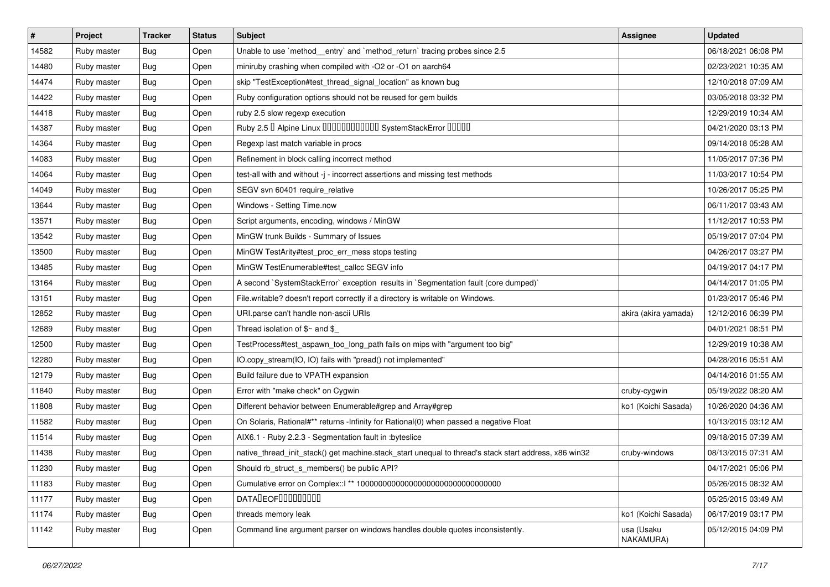| #     | Project     | <b>Tracker</b> | <b>Status</b> | <b>Subject</b>                                                                                        | <b>Assignee</b>         | <b>Updated</b>      |
|-------|-------------|----------------|---------------|-------------------------------------------------------------------------------------------------------|-------------------------|---------------------|
| 14582 | Ruby master | <b>Bug</b>     | Open          | Unable to use `method_entry` and `method_return` tracing probes since 2.5                             |                         | 06/18/2021 06:08 PM |
| 14480 | Ruby master | Bug            | Open          | miniruby crashing when compiled with -O2 or -O1 on aarch64                                            |                         | 02/23/2021 10:35 AM |
| 14474 | Ruby master | Bug            | Open          | skip "TestException#test_thread_signal_location" as known bug                                         |                         | 12/10/2018 07:09 AM |
| 14422 | Ruby master | Bug            | Open          | Ruby configuration options should not be reused for gem builds                                        |                         | 03/05/2018 03:32 PM |
| 14418 | Ruby master | Bug            | Open          | ruby 2.5 slow regexp execution                                                                        |                         | 12/29/2019 10:34 AM |
| 14387 | Ruby master | <b>Bug</b>     | Open          | Ruby 2.5 <sup>D</sup> Alpine Linux 000000000000 SystemStackError 00000                                |                         | 04/21/2020 03:13 PM |
| 14364 | Ruby master | Bug            | Open          | Regexp last match variable in procs                                                                   |                         | 09/14/2018 05:28 AM |
| 14083 | Ruby master | Bug            | Open          | Refinement in block calling incorrect method                                                          |                         | 11/05/2017 07:36 PM |
| 14064 | Ruby master | Bug            | Open          | test-all with and without -j - incorrect assertions and missing test methods                          |                         | 11/03/2017 10:54 PM |
| 14049 | Ruby master | Bug            | Open          | SEGV svn 60401 require_relative                                                                       |                         | 10/26/2017 05:25 PM |
| 13644 | Ruby master | Bug            | Open          | Windows - Setting Time.now                                                                            |                         | 06/11/2017 03:43 AM |
| 13571 | Ruby master | Bug            | Open          | Script arguments, encoding, windows / MinGW                                                           |                         | 11/12/2017 10:53 PM |
| 13542 | Ruby master | Bug            | Open          | MinGW trunk Builds - Summary of Issues                                                                |                         | 05/19/2017 07:04 PM |
| 13500 | Ruby master | Bug            | Open          | MinGW TestArity#test_proc_err_mess stops testing                                                      |                         | 04/26/2017 03:27 PM |
| 13485 | Ruby master | Bug            | Open          | MinGW TestEnumerable#test_callcc SEGV info                                                            |                         | 04/19/2017 04:17 PM |
| 13164 | Ruby master | Bug            | Open          | A second `SystemStackError` exception results in `Segmentation fault (core dumped)`                   |                         | 04/14/2017 01:05 PM |
| 13151 | Ruby master | Bug            | Open          | File.writable? doesn't report correctly if a directory is writable on Windows.                        |                         | 01/23/2017 05:46 PM |
| 12852 | Ruby master | Bug            | Open          | URI.parse can't handle non-ascii URIs                                                                 | akira (akira yamada)    | 12/12/2016 06:39 PM |
| 12689 | Ruby master | Bug            | Open          | Thread isolation of $\gamma$ and $\gamma$                                                             |                         | 04/01/2021 08:51 PM |
| 12500 | Ruby master | Bug            | Open          | TestProcess#test_aspawn_too_long_path fails on mips with "argument too big"                           |                         | 12/29/2019 10:38 AM |
| 12280 | Ruby master | Bug            | Open          | IO.copy_stream(IO, IO) fails with "pread() not implemented"                                           |                         | 04/28/2016 05:51 AM |
| 12179 | Ruby master | Bug            | Open          | Build failure due to VPATH expansion                                                                  |                         | 04/14/2016 01:55 AM |
| 11840 | Ruby master | Bug            | Open          | Error with "make check" on Cygwin                                                                     | cruby-cygwin            | 05/19/2022 08:20 AM |
| 11808 | Ruby master | Bug            | Open          | Different behavior between Enumerable#grep and Array#grep                                             | ko1 (Koichi Sasada)     | 10/26/2020 04:36 AM |
| 11582 | Ruby master | Bug            | Open          | On Solaris, Rational#** returns -Infinity for Rational(0) when passed a negative Float                |                         | 10/13/2015 03:12 AM |
| 11514 | Ruby master | Bug            | Open          | AIX6.1 - Ruby 2.2.3 - Segmentation fault in :byteslice                                                |                         | 09/18/2015 07:39 AM |
| 11438 | Ruby master | Bug            | Open          | native thread init stack() get machine.stack_start unequal to thread's stack start address, x86 win32 | cruby-windows           | 08/13/2015 07:31 AM |
| 11230 | Ruby master | Bug            | Open          | Should rb_struct_s_members() be public API?                                                           |                         | 04/17/2021 05:06 PM |
| 11183 | Ruby master | Bug            | Open          |                                                                                                       |                         | 05/26/2015 08:32 AM |
| 11177 | Ruby master | Bug            | Open          | <b>DATALEOFILILILILILI</b>                                                                            |                         | 05/25/2015 03:49 AM |
| 11174 | Ruby master | Bug            | Open          | threads memory leak                                                                                   | ko1 (Koichi Sasada)     | 06/17/2019 03:17 PM |
| 11142 | Ruby master | Bug            | Open          | Command line argument parser on windows handles double quotes inconsistently.                         | usa (Usaku<br>NAKAMURA) | 05/12/2015 04:09 PM |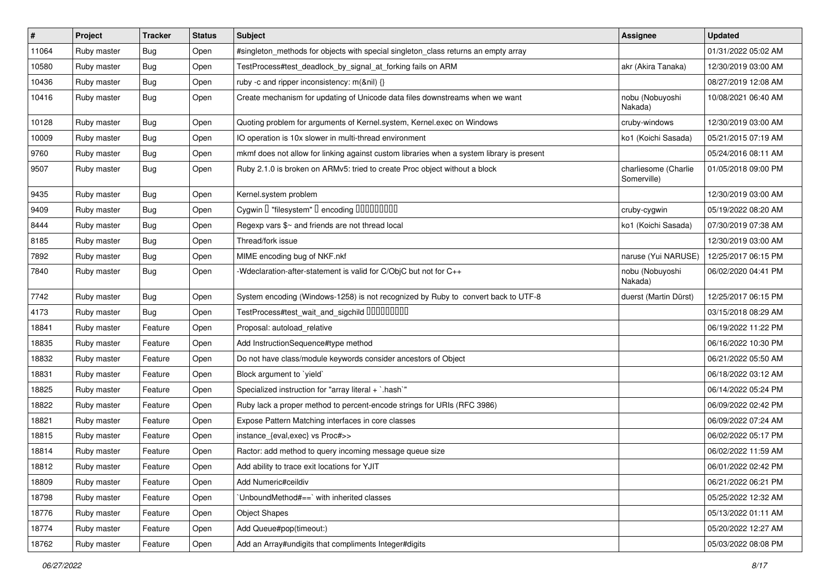| $\vert$ # | Project     | <b>Tracker</b> | <b>Status</b> | <b>Subject</b>                                                                            | <b>Assignee</b>                     | <b>Updated</b>      |
|-----------|-------------|----------------|---------------|-------------------------------------------------------------------------------------------|-------------------------------------|---------------------|
| 11064     | Ruby master | <b>Bug</b>     | Open          | #singleton_methods for objects with special singleton_class returns an empty array        |                                     | 01/31/2022 05:02 AM |
| 10580     | Ruby master | Bug            | Open          | TestProcess#test_deadlock_by_signal_at_forking fails on ARM                               | akr (Akira Tanaka)                  | 12/30/2019 03:00 AM |
| 10436     | Ruby master | <b>Bug</b>     | Open          | ruby -c and ripper inconsistency: m(&nil) {}                                              |                                     | 08/27/2019 12:08 AM |
| 10416     | Ruby master | <b>Bug</b>     | Open          | Create mechanism for updating of Unicode data files downstreams when we want              | nobu (Nobuyoshi<br>Nakada)          | 10/08/2021 06:40 AM |
| 10128     | Ruby master | Bug            | Open          | Quoting problem for arguments of Kernel.system, Kernel.exec on Windows                    | cruby-windows                       | 12/30/2019 03:00 AM |
| 10009     | Ruby master | <b>Bug</b>     | Open          | IO operation is 10x slower in multi-thread environment                                    | ko1 (Koichi Sasada)                 | 05/21/2015 07:19 AM |
| 9760      | Ruby master | Bug            | Open          | mkmf does not allow for linking against custom libraries when a system library is present |                                     | 05/24/2016 08:11 AM |
| 9507      | Ruby master | <b>Bug</b>     | Open          | Ruby 2.1.0 is broken on ARMv5: tried to create Proc object without a block                | charliesome (Charlie<br>Somerville) | 01/05/2018 09:00 PM |
| 9435      | Ruby master | Bug            | Open          | Kernel.system problem                                                                     |                                     | 12/30/2019 03:00 AM |
| 9409      | Ruby master | <b>Bug</b>     | Open          | Cygwin [] "filesystem" [] encoding [][][][][][][][][]                                     | cruby-cygwin                        | 05/19/2022 08:20 AM |
| 8444      | Ruby master | Bug            | Open          | Regexp vars \$~ and friends are not thread local                                          | ko1 (Koichi Sasada)                 | 07/30/2019 07:38 AM |
| 8185      | Ruby master | <b>Bug</b>     | Open          | Thread/fork issue                                                                         |                                     | 12/30/2019 03:00 AM |
| 7892      | Ruby master | <b>Bug</b>     | Open          | MIME encoding bug of NKF.nkf                                                              | naruse (Yui NARUSE)                 | 12/25/2017 06:15 PM |
| 7840      | Ruby master | Bug            | Open          | -Wdeclaration-after-statement is valid for C/ObjC but not for C++                         | nobu (Nobuyoshi<br>Nakada)          | 06/02/2020 04:41 PM |
| 7742      | Ruby master | <b>Bug</b>     | Open          | System encoding (Windows-1258) is not recognized by Ruby to convert back to UTF-8         | duerst (Martin Dürst)               | 12/25/2017 06:15 PM |
| 4173      | Ruby master | <b>Bug</b>     | Open          | TestProcess#test_wait_and_sigchild DDDDDDDD                                               |                                     | 03/15/2018 08:29 AM |
| 18841     | Ruby master | Feature        | Open          | Proposal: autoload_relative                                                               |                                     | 06/19/2022 11:22 PM |
| 18835     | Ruby master | Feature        | Open          | Add InstructionSequence#type method                                                       |                                     | 06/16/2022 10:30 PM |
| 18832     | Ruby master | Feature        | Open          | Do not have class/module keywords consider ancestors of Object                            |                                     | 06/21/2022 05:50 AM |
| 18831     | Ruby master | Feature        | Open          | Block argument to 'yield'                                                                 |                                     | 06/18/2022 03:12 AM |
| 18825     | Ruby master | Feature        | Open          | Specialized instruction for "array literal + `.hash`"                                     |                                     | 06/14/2022 05:24 PM |
| 18822     | Ruby master | Feature        | Open          | Ruby lack a proper method to percent-encode strings for URIs (RFC 3986)                   |                                     | 06/09/2022 02:42 PM |
| 18821     | Ruby master | Feature        | Open          | Expose Pattern Matching interfaces in core classes                                        |                                     | 06/09/2022 07:24 AM |
| 18815     | Ruby master | Feature        | Open          | instance_{eval,exec} vs Proc#>>                                                           |                                     | 06/02/2022 05:17 PM |
| 18814     | Ruby master | Feature        | Open          | Ractor: add method to query incoming message queue size                                   |                                     | 06/02/2022 11:59 AM |
| 18812     | Ruby master | Feature        | Open          | Add ability to trace exit locations for YJIT                                              |                                     | 06/01/2022 02:42 PM |
| 18809     | Ruby master | Feature        | Open          | Add Numeric#ceildiv                                                                       |                                     | 06/21/2022 06:21 PM |
| 18798     | Ruby master | Feature        | Open          | 'UnboundMethod#==' with inherited classes                                                 |                                     | 05/25/2022 12:32 AM |
| 18776     | Ruby master | Feature        | Open          | <b>Object Shapes</b>                                                                      |                                     | 05/13/2022 01:11 AM |
| 18774     | Ruby master | Feature        | Open          | Add Queue#pop(timeout:)                                                                   |                                     | 05/20/2022 12:27 AM |
| 18762     | Ruby master | Feature        | Open          | Add an Array#undigits that compliments Integer#digits                                     |                                     | 05/03/2022 08:08 PM |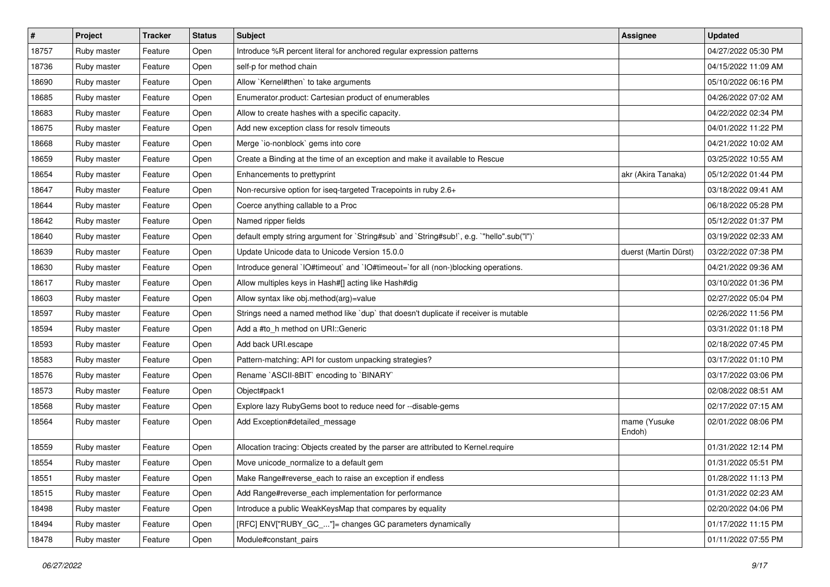| $\vert$ # | Project     | <b>Tracker</b> | <b>Status</b> | Subject                                                                                   | <b>Assignee</b>        | <b>Updated</b>      |
|-----------|-------------|----------------|---------------|-------------------------------------------------------------------------------------------|------------------------|---------------------|
| 18757     | Ruby master | Feature        | Open          | Introduce %R percent literal for anchored regular expression patterns                     |                        | 04/27/2022 05:30 PM |
| 18736     | Ruby master | Feature        | Open          | self-p for method chain                                                                   |                        | 04/15/2022 11:09 AM |
| 18690     | Ruby master | Feature        | Open          | Allow `Kernel#then` to take arguments                                                     |                        | 05/10/2022 06:16 PM |
| 18685     | Ruby master | Feature        | Open          | Enumerator.product: Cartesian product of enumerables                                      |                        | 04/26/2022 07:02 AM |
| 18683     | Ruby master | Feature        | Open          | Allow to create hashes with a specific capacity.                                          |                        | 04/22/2022 02:34 PM |
| 18675     | Ruby master | Feature        | Open          | Add new exception class for resolv timeouts                                               |                        | 04/01/2022 11:22 PM |
| 18668     | Ruby master | Feature        | Open          | Merge `io-nonblock` gems into core                                                        |                        | 04/21/2022 10:02 AM |
| 18659     | Ruby master | Feature        | Open          | Create a Binding at the time of an exception and make it available to Rescue              |                        | 03/25/2022 10:55 AM |
| 18654     | Ruby master | Feature        | Open          | Enhancements to prettyprint                                                               | akr (Akira Tanaka)     | 05/12/2022 01:44 PM |
| 18647     | Ruby master | Feature        | Open          | Non-recursive option for iseq-targeted Tracepoints in ruby 2.6+                           |                        | 03/18/2022 09:41 AM |
| 18644     | Ruby master | Feature        | Open          | Coerce anything callable to a Proc                                                        |                        | 06/18/2022 05:28 PM |
| 18642     | Ruby master | Feature        | Open          | Named ripper fields                                                                       |                        | 05/12/2022 01:37 PM |
| 18640     | Ruby master | Feature        | Open          | default empty string argument for `String#sub` and `String#sub!`, e.g. `"hello".sub("I")` |                        | 03/19/2022 02:33 AM |
| 18639     | Ruby master | Feature        | Open          | Update Unicode data to Unicode Version 15.0.0                                             | duerst (Martin Dürst)  | 03/22/2022 07:38 PM |
| 18630     | Ruby master | Feature        | Open          | Introduce general `IO#timeout` and `IO#timeout=`for all (non-)blocking operations.        |                        | 04/21/2022 09:36 AM |
| 18617     | Ruby master | Feature        | Open          | Allow multiples keys in Hash#[] acting like Hash#dig                                      |                        | 03/10/2022 01:36 PM |
| 18603     | Ruby master | Feature        | Open          | Allow syntax like obj.method(arg)=value                                                   |                        | 02/27/2022 05:04 PM |
| 18597     | Ruby master | Feature        | Open          | Strings need a named method like 'dup' that doesn't duplicate if receiver is mutable      |                        | 02/26/2022 11:56 PM |
| 18594     | Ruby master | Feature        | Open          | Add a #to_h method on URI::Generic                                                        |                        | 03/31/2022 01:18 PM |
| 18593     | Ruby master | Feature        | Open          | Add back URI.escape                                                                       |                        | 02/18/2022 07:45 PM |
| 18583     | Ruby master | Feature        | Open          | Pattern-matching: API for custom unpacking strategies?                                    |                        | 03/17/2022 01:10 PM |
| 18576     | Ruby master | Feature        | Open          | Rename `ASCII-8BIT` encoding to `BINARY`                                                  |                        | 03/17/2022 03:06 PM |
| 18573     | Ruby master | Feature        | Open          | Object#pack1                                                                              |                        | 02/08/2022 08:51 AM |
| 18568     | Ruby master | Feature        | Open          | Explore lazy RubyGems boot to reduce need for --disable-gems                              |                        | 02/17/2022 07:15 AM |
| 18564     | Ruby master | Feature        | Open          | Add Exception#detailed_message                                                            | mame (Yusuke<br>Endoh) | 02/01/2022 08:06 PM |
| 18559     | Ruby master | Feature        | Open          | Allocation tracing: Objects created by the parser are attributed to Kernel.require        |                        | 01/31/2022 12:14 PM |
| 18554     | Ruby master | Feature        | Open          | Move unicode_normalize to a default gem                                                   |                        | 01/31/2022 05:51 PM |
| 18551     | Ruby master | Feature        | Open          | Make Range#reverse_each to raise an exception if endless                                  |                        | 01/28/2022 11:13 PM |
| 18515     | Ruby master | Feature        | Open          | Add Range#reverse_each implementation for performance                                     |                        | 01/31/2022 02:23 AM |
| 18498     | Ruby master | Feature        | Open          | Introduce a public WeakKeysMap that compares by equality                                  |                        | 02/20/2022 04:06 PM |
| 18494     | Ruby master | Feature        | Open          | [RFC] ENV["RUBY_GC_"]= changes GC parameters dynamically                                  |                        | 01/17/2022 11:15 PM |
| 18478     | Ruby master | Feature        | Open          | Module#constant_pairs                                                                     |                        | 01/11/2022 07:55 PM |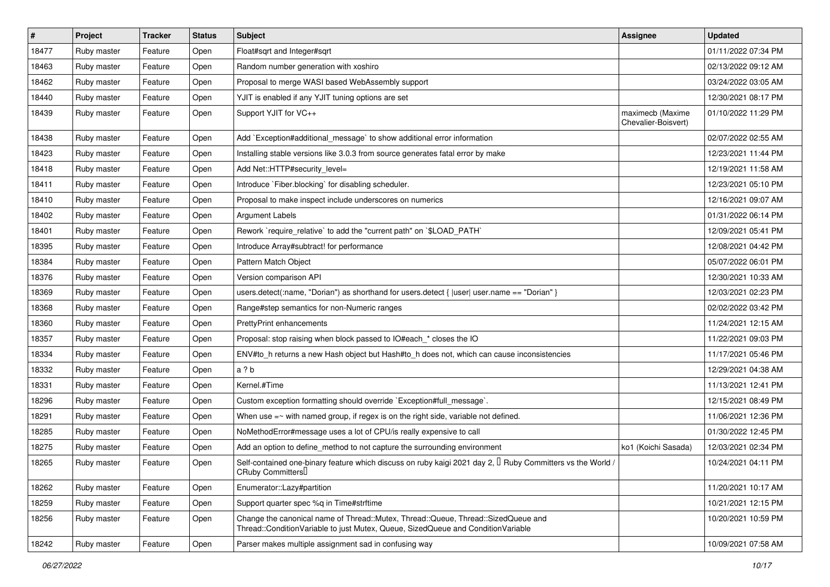| $\sharp$ | Project     | <b>Tracker</b> | <b>Status</b> | <b>Subject</b>                                                                                                                                                        | <b>Assignee</b>                         | <b>Updated</b>      |
|----------|-------------|----------------|---------------|-----------------------------------------------------------------------------------------------------------------------------------------------------------------------|-----------------------------------------|---------------------|
| 18477    | Ruby master | Feature        | Open          | Float#sqrt and Integer#sqrt                                                                                                                                           |                                         | 01/11/2022 07:34 PM |
| 18463    | Ruby master | Feature        | Open          | Random number generation with xoshiro                                                                                                                                 |                                         | 02/13/2022 09:12 AM |
| 18462    | Ruby master | Feature        | Open          | Proposal to merge WASI based WebAssembly support                                                                                                                      |                                         | 03/24/2022 03:05 AM |
| 18440    | Ruby master | Feature        | Open          | YJIT is enabled if any YJIT tuning options are set                                                                                                                    |                                         | 12/30/2021 08:17 PM |
| 18439    | Ruby master | Feature        | Open          | Support YJIT for VC++                                                                                                                                                 | maximecb (Maxime<br>Chevalier-Boisvert) | 01/10/2022 11:29 PM |
| 18438    | Ruby master | Feature        | Open          | Add `Exception#additional_message` to show additional error information                                                                                               |                                         | 02/07/2022 02:55 AM |
| 18423    | Ruby master | Feature        | Open          | Installing stable versions like 3.0.3 from source generates fatal error by make                                                                                       |                                         | 12/23/2021 11:44 PM |
| 18418    | Ruby master | Feature        | Open          | Add Net::HTTP#security_level=                                                                                                                                         |                                         | 12/19/2021 11:58 AM |
| 18411    | Ruby master | Feature        | Open          | Introduce `Fiber.blocking` for disabling scheduler.                                                                                                                   |                                         | 12/23/2021 05:10 PM |
| 18410    | Ruby master | Feature        | Open          | Proposal to make inspect include underscores on numerics                                                                                                              |                                         | 12/16/2021 09:07 AM |
| 18402    | Ruby master | Feature        | Open          | Argument Labels                                                                                                                                                       |                                         | 01/31/2022 06:14 PM |
| 18401    | Ruby master | Feature        | Open          | Rework `require_relative` to add the "current path" on `\$LOAD_PATH`                                                                                                  |                                         | 12/09/2021 05:41 PM |
| 18395    | Ruby master | Feature        | Open          | Introduce Array#subtract! for performance                                                                                                                             |                                         | 12/08/2021 04:42 PM |
| 18384    | Ruby master | Feature        | Open          | Pattern Match Object                                                                                                                                                  |                                         | 05/07/2022 06:01 PM |
| 18376    | Ruby master | Feature        | Open          | Version comparison API                                                                                                                                                |                                         | 12/30/2021 10:33 AM |
| 18369    | Ruby master | Feature        | Open          | users.detect(:name, "Dorian") as shorthand for users.detect {  user  user.name == "Dorian" }                                                                          |                                         | 12/03/2021 02:23 PM |
| 18368    | Ruby master | Feature        | Open          | Range#step semantics for non-Numeric ranges                                                                                                                           |                                         | 02/02/2022 03:42 PM |
| 18360    | Ruby master | Feature        | Open          | <b>PrettyPrint enhancements</b>                                                                                                                                       |                                         | 11/24/2021 12:15 AM |
| 18357    | Ruby master | Feature        | Open          | Proposal: stop raising when block passed to IO#each_* closes the IO                                                                                                   |                                         | 11/22/2021 09:03 PM |
| 18334    | Ruby master | Feature        | Open          | ENV#to_h returns a new Hash object but Hash#to_h does not, which can cause inconsistencies                                                                            |                                         | 11/17/2021 05:46 PM |
| 18332    | Ruby master | Feature        | Open          | a ? b                                                                                                                                                                 |                                         | 12/29/2021 04:38 AM |
| 18331    | Ruby master | Feature        | Open          | Kernel.#Time                                                                                                                                                          |                                         | 11/13/2021 12:41 PM |
| 18296    | Ruby master | Feature        | Open          | Custom exception formatting should override `Exception#full_message`.                                                                                                 |                                         | 12/15/2021 08:49 PM |
| 18291    | Ruby master | Feature        | Open          | When use $=$ with named group, if regex is on the right side, variable not defined.                                                                                   |                                         | 11/06/2021 12:36 PM |
| 18285    | Ruby master | Feature        | Open          | NoMethodError#message uses a lot of CPU/is really expensive to call                                                                                                   |                                         | 01/30/2022 12:45 PM |
| 18275    | Ruby master | Feature        | Open          | Add an option to define_method to not capture the surrounding environment                                                                                             | ko1 (Koichi Sasada)                     | 12/03/2021 02:34 PM |
| 18265    | Ruby master | Feature        | Open          | Self-contained one-binary feature which discuss on ruby kaigi 2021 day 2, $\mathbb I$ Ruby Committers vs the World /<br>CRuby Committers                              |                                         | 10/24/2021 04:11 PM |
| 18262    | Ruby master | Feature        | Open          | Enumerator::Lazy#partition                                                                                                                                            |                                         | 11/20/2021 10:17 AM |
| 18259    | Ruby master | Feature        | Open          | Support quarter spec %q in Time#strftime                                                                                                                              |                                         | 10/21/2021 12:15 PM |
| 18256    | Ruby master | Feature        | Open          | Change the canonical name of Thread::Mutex, Thread::Queue, Thread::SizedQueue and<br>Thread::ConditionVariable to just Mutex, Queue, SizedQueue and ConditionVariable |                                         | 10/20/2021 10:59 PM |
| 18242    | Ruby master | Feature        | Open          | Parser makes multiple assignment sad in confusing way                                                                                                                 |                                         | 10/09/2021 07:58 AM |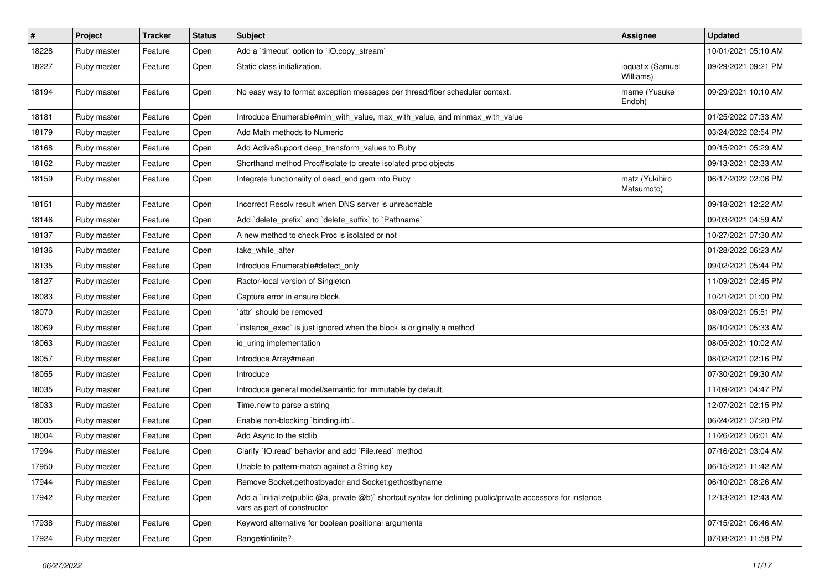| $\#$  | Project     | <b>Tracker</b> | <b>Status</b> | Subject                                                                                                                                     | <b>Assignee</b>               | <b>Updated</b>      |
|-------|-------------|----------------|---------------|---------------------------------------------------------------------------------------------------------------------------------------------|-------------------------------|---------------------|
| 18228 | Ruby master | Feature        | Open          | Add a 'timeout' option to 'IO.copy_stream'                                                                                                  |                               | 10/01/2021 05:10 AM |
| 18227 | Ruby master | Feature        | Open          | Static class initialization.                                                                                                                | ioquatix (Samuel<br>Williams) | 09/29/2021 09:21 PM |
| 18194 | Ruby master | Feature        | Open          | No easy way to format exception messages per thread/fiber scheduler context.                                                                | mame (Yusuke<br>Endoh)        | 09/29/2021 10:10 AM |
| 18181 | Ruby master | Feature        | Open          | Introduce Enumerable#min_with_value, max_with_value, and minmax_with_value                                                                  |                               | 01/25/2022 07:33 AM |
| 18179 | Ruby master | Feature        | Open          | Add Math methods to Numeric                                                                                                                 |                               | 03/24/2022 02:54 PM |
| 18168 | Ruby master | Feature        | Open          | Add ActiveSupport deep_transform_values to Ruby                                                                                             |                               | 09/15/2021 05:29 AM |
| 18162 | Ruby master | Feature        | Open          | Shorthand method Proc#isolate to create isolated proc objects                                                                               |                               | 09/13/2021 02:33 AM |
| 18159 | Ruby master | Feature        | Open          | Integrate functionality of dead_end gem into Ruby                                                                                           | matz (Yukihiro<br>Matsumoto)  | 06/17/2022 02:06 PM |
| 18151 | Ruby master | Feature        | Open          | Incorrect Resolv result when DNS server is unreachable                                                                                      |                               | 09/18/2021 12:22 AM |
| 18146 | Ruby master | Feature        | Open          | Add 'delete_prefix' and 'delete_suffix' to 'Pathname'                                                                                       |                               | 09/03/2021 04:59 AM |
| 18137 | Ruby master | Feature        | Open          | A new method to check Proc is isolated or not                                                                                               |                               | 10/27/2021 07:30 AM |
| 18136 | Ruby master | Feature        | Open          | take_while_after                                                                                                                            |                               | 01/28/2022 06:23 AM |
| 18135 | Ruby master | Feature        | Open          | Introduce Enumerable#detect_only                                                                                                            |                               | 09/02/2021 05:44 PM |
| 18127 | Ruby master | Feature        | Open          | Ractor-local version of Singleton                                                                                                           |                               | 11/09/2021 02:45 PM |
| 18083 | Ruby master | Feature        | Open          | Capture error in ensure block.                                                                                                              |                               | 10/21/2021 01:00 PM |
| 18070 | Ruby master | Feature        | Open          | attr` should be removed                                                                                                                     |                               | 08/09/2021 05:51 PM |
| 18069 | Ruby master | Feature        | Open          | instance_exec` is just ignored when the block is originally a method                                                                        |                               | 08/10/2021 05:33 AM |
| 18063 | Ruby master | Feature        | Open          | io uring implementation                                                                                                                     |                               | 08/05/2021 10:02 AM |
| 18057 | Ruby master | Feature        | Open          | Introduce Array#mean                                                                                                                        |                               | 08/02/2021 02:16 PM |
| 18055 | Ruby master | Feature        | Open          | Introduce                                                                                                                                   |                               | 07/30/2021 09:30 AM |
| 18035 | Ruby master | Feature        | Open          | Introduce general model/semantic for immutable by default.                                                                                  |                               | 11/09/2021 04:47 PM |
| 18033 | Ruby master | Feature        | Open          | Time.new to parse a string                                                                                                                  |                               | 12/07/2021 02:15 PM |
| 18005 | Ruby master | Feature        | Open          | Enable non-blocking 'binding.irb'.                                                                                                          |                               | 06/24/2021 07:20 PM |
| 18004 | Ruby master | Feature        | Open          | Add Async to the stdlib                                                                                                                     |                               | 11/26/2021 06:01 AM |
| 17994 | Ruby master | Feature        | Open          | Clarify 'IO.read' behavior and add 'File.read' method                                                                                       |                               | 07/16/2021 03:04 AM |
| 17950 | Ruby master | Feature        | Open          | Unable to pattern-match against a String key                                                                                                |                               | 06/15/2021 11:42 AM |
| 17944 | Ruby master | Feature        | Open          | Remove Socket.gethostbyaddr and Socket.gethostbyname                                                                                        |                               | 06/10/2021 08:26 AM |
| 17942 | Ruby master | Feature        | Open          | Add a `initialize(public @a, private @b)` shortcut syntax for defining public/private accessors for instance<br>vars as part of constructor |                               | 12/13/2021 12:43 AM |
| 17938 | Ruby master | Feature        | Open          | Keyword alternative for boolean positional arguments                                                                                        |                               | 07/15/2021 06:46 AM |
| 17924 | Ruby master | Feature        | Open          | Range#infinite?                                                                                                                             |                               | 07/08/2021 11:58 PM |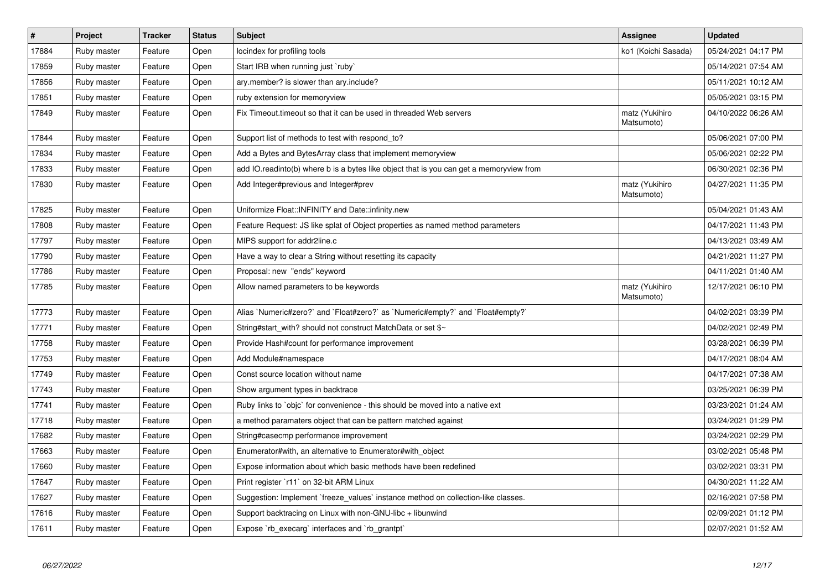| $\#$  | Project     | <b>Tracker</b> | <b>Status</b> | <b>Subject</b>                                                                          | <b>Assignee</b>              | <b>Updated</b>      |
|-------|-------------|----------------|---------------|-----------------------------------------------------------------------------------------|------------------------------|---------------------|
| 17884 | Ruby master | Feature        | Open          | locindex for profiling tools                                                            | ko1 (Koichi Sasada)          | 05/24/2021 04:17 PM |
| 17859 | Ruby master | Feature        | Open          | Start IRB when running just `ruby`                                                      |                              | 05/14/2021 07:54 AM |
| 17856 | Ruby master | Feature        | Open          | ary.member? is slower than ary.include?                                                 |                              | 05/11/2021 10:12 AM |
| 17851 | Ruby master | Feature        | Open          | ruby extension for memoryview                                                           |                              | 05/05/2021 03:15 PM |
| 17849 | Ruby master | Feature        | Open          | Fix Timeout timeout so that it can be used in threaded Web servers                      | matz (Yukihiro<br>Matsumoto) | 04/10/2022 06:26 AM |
| 17844 | Ruby master | Feature        | Open          | Support list of methods to test with respond_to?                                        |                              | 05/06/2021 07:00 PM |
| 17834 | Ruby master | Feature        | Open          | Add a Bytes and BytesArray class that implement memoryview                              |                              | 05/06/2021 02:22 PM |
| 17833 | Ruby master | Feature        | Open          | add IO.readinto(b) where b is a bytes like object that is you can get a memoryview from |                              | 06/30/2021 02:36 PM |
| 17830 | Ruby master | Feature        | Open          | Add Integer#previous and Integer#prev                                                   | matz (Yukihiro<br>Matsumoto) | 04/27/2021 11:35 PM |
| 17825 | Ruby master | Feature        | Open          | Uniformize Float::INFINITY and Date::infinity.new                                       |                              | 05/04/2021 01:43 AM |
| 17808 | Ruby master | Feature        | Open          | Feature Request: JS like splat of Object properties as named method parameters          |                              | 04/17/2021 11:43 PM |
| 17797 | Ruby master | Feature        | Open          | MIPS support for addr2line.c                                                            |                              | 04/13/2021 03:49 AM |
| 17790 | Ruby master | Feature        | Open          | Have a way to clear a String without resetting its capacity                             |                              | 04/21/2021 11:27 PM |
| 17786 | Ruby master | Feature        | Open          | Proposal: new "ends" keyword                                                            |                              | 04/11/2021 01:40 AM |
| 17785 | Ruby master | Feature        | Open          | Allow named parameters to be keywords                                                   | matz (Yukihiro<br>Matsumoto) | 12/17/2021 06:10 PM |
| 17773 | Ruby master | Feature        | Open          | Alias `Numeric#zero?` and `Float#zero?` as `Numeric#empty?` and `Float#empty?`          |                              | 04/02/2021 03:39 PM |
| 17771 | Ruby master | Feature        | Open          | String#start with? should not construct MatchData or set \$~                            |                              | 04/02/2021 02:49 PM |
| 17758 | Ruby master | Feature        | Open          | Provide Hash#count for performance improvement                                          |                              | 03/28/2021 06:39 PM |
| 17753 | Ruby master | Feature        | Open          | Add Module#namespace                                                                    |                              | 04/17/2021 08:04 AM |
| 17749 | Ruby master | Feature        | Open          | Const source location without name                                                      |                              | 04/17/2021 07:38 AM |
| 17743 | Ruby master | Feature        | Open          | Show argument types in backtrace                                                        |                              | 03/25/2021 06:39 PM |
| 17741 | Ruby master | Feature        | Open          | Ruby links to `objc` for convenience - this should be moved into a native ext           |                              | 03/23/2021 01:24 AM |
| 17718 | Ruby master | Feature        | Open          | a method paramaters object that can be pattern matched against                          |                              | 03/24/2021 01:29 PM |
| 17682 | Ruby master | Feature        | Open          | String#casecmp performance improvement                                                  |                              | 03/24/2021 02:29 PM |
| 17663 | Ruby master | Feature        | Open          | Enumerator#with, an alternative to Enumerator#with object                               |                              | 03/02/2021 05:48 PM |
| 17660 | Ruby master | Feature        | Open          | Expose information about which basic methods have been redefined                        |                              | 03/02/2021 03:31 PM |
| 17647 | Ruby master | Feature        | Open          | Print register `r11` on 32-bit ARM Linux                                                |                              | 04/30/2021 11:22 AM |
| 17627 | Ruby master | Feature        | Open          | Suggestion: Implement `freeze_values` instance method on collection-like classes.       |                              | 02/16/2021 07:58 PM |
| 17616 | Ruby master | Feature        | Open          | Support backtracing on Linux with non-GNU-libc + libunwind                              |                              | 02/09/2021 01:12 PM |
| 17611 | Ruby master | Feature        | Open          | Expose `rb execarg` interfaces and `rb grantpt`                                         |                              | 02/07/2021 01:52 AM |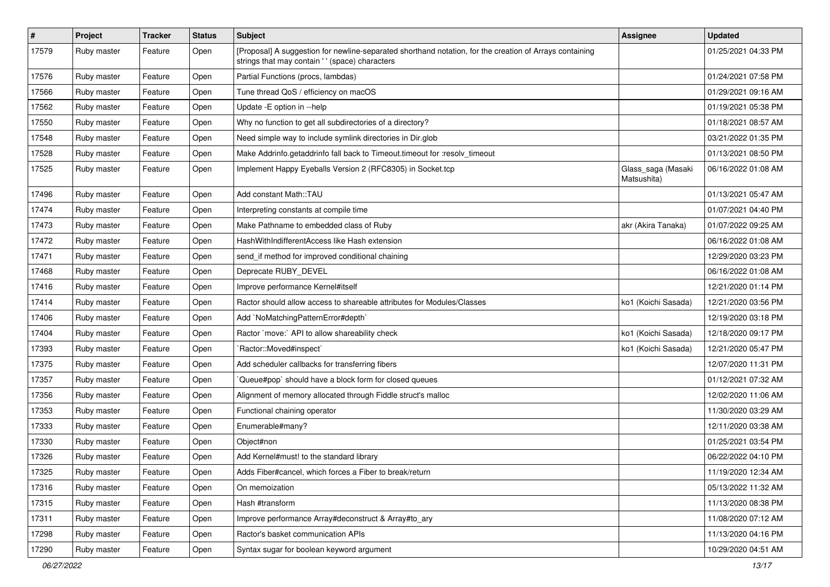| $\vert$ # | Project     | <b>Tracker</b> | <b>Status</b> | <b>Subject</b>                                                                                                                                             | Assignee                          | <b>Updated</b>      |
|-----------|-------------|----------------|---------------|------------------------------------------------------------------------------------------------------------------------------------------------------------|-----------------------------------|---------------------|
| 17579     | Ruby master | Feature        | Open          | [Proposal] A suggestion for newline-separated shorthand notation, for the creation of Arrays containing<br>strings that may contain ' ' (space) characters |                                   | 01/25/2021 04:33 PM |
| 17576     | Ruby master | Feature        | Open          | Partial Functions (procs, lambdas)                                                                                                                         |                                   | 01/24/2021 07:58 PM |
| 17566     | Ruby master | Feature        | Open          | Tune thread QoS / efficiency on macOS                                                                                                                      |                                   | 01/29/2021 09:16 AM |
| 17562     | Ruby master | Feature        | Open          | Update - E option in --help                                                                                                                                |                                   | 01/19/2021 05:38 PM |
| 17550     | Ruby master | Feature        | Open          | Why no function to get all subdirectories of a directory?                                                                                                  |                                   | 01/18/2021 08:57 AM |
| 17548     | Ruby master | Feature        | Open          | Need simple way to include symlink directories in Dir.glob                                                                                                 |                                   | 03/21/2022 01:35 PM |
| 17528     | Ruby master | Feature        | Open          | Make Addrinfo.getaddrinfo fall back to Timeout.timeout for :resolv_timeout                                                                                 |                                   | 01/13/2021 08:50 PM |
| 17525     | Ruby master | Feature        | Open          | Implement Happy Eyeballs Version 2 (RFC8305) in Socket.tcp                                                                                                 | Glass_saga (Masaki<br>Matsushita) | 06/16/2022 01:08 AM |
| 17496     | Ruby master | Feature        | Open          | Add constant Math::TAU                                                                                                                                     |                                   | 01/13/2021 05:47 AM |
| 17474     | Ruby master | Feature        | Open          | Interpreting constants at compile time                                                                                                                     |                                   | 01/07/2021 04:40 PM |
| 17473     | Ruby master | Feature        | Open          | Make Pathname to embedded class of Ruby                                                                                                                    | akr (Akira Tanaka)                | 01/07/2022 09:25 AM |
| 17472     | Ruby master | Feature        | Open          | HashWithIndifferentAccess like Hash extension                                                                                                              |                                   | 06/16/2022 01:08 AM |
| 17471     | Ruby master | Feature        | Open          | send_if method for improved conditional chaining                                                                                                           |                                   | 12/29/2020 03:23 PM |
| 17468     | Ruby master | Feature        | Open          | Deprecate RUBY_DEVEL                                                                                                                                       |                                   | 06/16/2022 01:08 AM |
| 17416     | Ruby master | Feature        | Open          | Improve performance Kernel#itself                                                                                                                          |                                   | 12/21/2020 01:14 PM |
| 17414     | Ruby master | Feature        | Open          | Ractor should allow access to shareable attributes for Modules/Classes                                                                                     | ko1 (Koichi Sasada)               | 12/21/2020 03:56 PM |
| 17406     | Ruby master | Feature        | Open          | Add `NoMatchingPatternError#depth`                                                                                                                         |                                   | 12/19/2020 03:18 PM |
| 17404     | Ruby master | Feature        | Open          | Ractor `move:` API to allow shareability check                                                                                                             | ko1 (Koichi Sasada)               | 12/18/2020 09:17 PM |
| 17393     | Ruby master | Feature        | Open          | 'Ractor::Moved#inspect'                                                                                                                                    | ko1 (Koichi Sasada)               | 12/21/2020 05:47 PM |
| 17375     | Ruby master | Feature        | Open          | Add scheduler callbacks for transferring fibers                                                                                                            |                                   | 12/07/2020 11:31 PM |
| 17357     | Ruby master | Feature        | Open          | Queue#pop` should have a block form for closed queues                                                                                                      |                                   | 01/12/2021 07:32 AM |
| 17356     | Ruby master | Feature        | Open          | Alignment of memory allocated through Fiddle struct's malloc                                                                                               |                                   | 12/02/2020 11:06 AM |
| 17353     | Ruby master | Feature        | Open          | Functional chaining operator                                                                                                                               |                                   | 11/30/2020 03:29 AM |
| 17333     | Ruby master | Feature        | Open          | Enumerable#many?                                                                                                                                           |                                   | 12/11/2020 03:38 AM |
| 17330     | Ruby master | Feature        | Open          | Object#non                                                                                                                                                 |                                   | 01/25/2021 03:54 PM |
| 17326     | Ruby master | Feature        | Open          | Add Kernel#must! to the standard library                                                                                                                   |                                   | 06/22/2022 04:10 PM |
| 17325     | Ruby master | Feature        | Open          | Adds Fiber#cancel, which forces a Fiber to break/return                                                                                                    |                                   | 11/19/2020 12:34 AM |
| 17316     | Ruby master | Feature        | Open          | On memoization                                                                                                                                             |                                   | 05/13/2022 11:32 AM |
| 17315     | Ruby master | Feature        | Open          | Hash #transform                                                                                                                                            |                                   | 11/13/2020 08:38 PM |
| 17311     | Ruby master | Feature        | Open          | Improve performance Array#deconstruct & Array#to ary                                                                                                       |                                   | 11/08/2020 07:12 AM |
| 17298     | Ruby master | Feature        | Open          | Ractor's basket communication APIs                                                                                                                         |                                   | 11/13/2020 04:16 PM |
| 17290     | Ruby master | Feature        | Open          | Syntax sugar for boolean keyword argument                                                                                                                  |                                   | 10/29/2020 04:51 AM |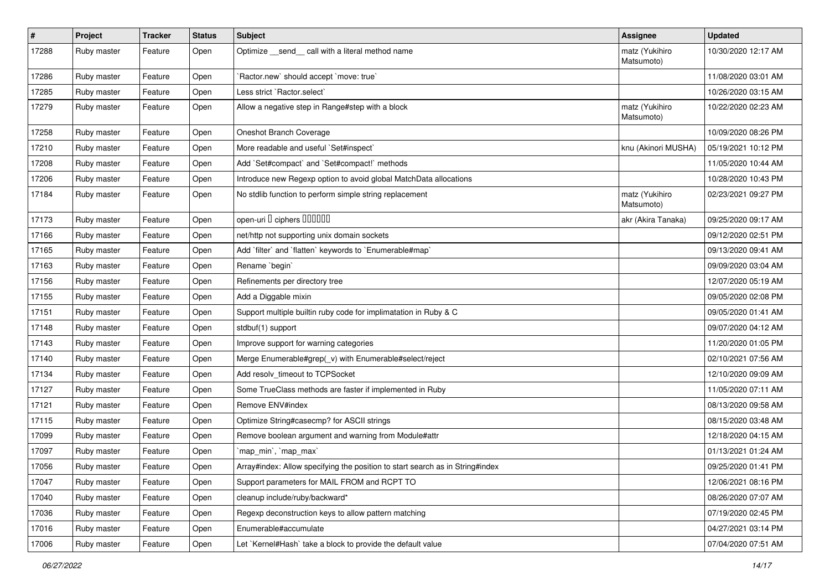| #     | Project     | <b>Tracker</b> | <b>Status</b> | <b>Subject</b>                                                                | <b>Assignee</b>              | <b>Updated</b>      |
|-------|-------------|----------------|---------------|-------------------------------------------------------------------------------|------------------------------|---------------------|
| 17288 | Ruby master | Feature        | Open          | Optimize send call with a literal method name                                 | matz (Yukihiro<br>Matsumoto) | 10/30/2020 12:17 AM |
| 17286 | Ruby master | Feature        | Open          | 'Ractor.new' should accept 'move: true'                                       |                              | 11/08/2020 03:01 AM |
| 17285 | Ruby master | Feature        | Open          | Less strict `Ractor.select`                                                   |                              | 10/26/2020 03:15 AM |
| 17279 | Ruby master | Feature        | Open          | Allow a negative step in Range#step with a block                              | matz (Yukihiro<br>Matsumoto) | 10/22/2020 02:23 AM |
| 17258 | Ruby master | Feature        | Open          | Oneshot Branch Coverage                                                       |                              | 10/09/2020 08:26 PM |
| 17210 | Ruby master | Feature        | Open          | More readable and useful `Set#inspect`                                        | knu (Akinori MUSHA)          | 05/19/2021 10:12 PM |
| 17208 | Ruby master | Feature        | Open          | Add `Set#compact` and `Set#compact!` methods                                  |                              | 11/05/2020 10:44 AM |
| 17206 | Ruby master | Feature        | Open          | Introduce new Regexp option to avoid global MatchData allocations             |                              | 10/28/2020 10:43 PM |
| 17184 | Ruby master | Feature        | Open          | No stdlib function to perform simple string replacement                       | matz (Yukihiro<br>Matsumoto) | 02/23/2021 09:27 PM |
| 17173 | Ruby master | Feature        | Open          | open-uri I ciphers IIIIIII                                                    | akr (Akira Tanaka)           | 09/25/2020 09:17 AM |
| 17166 | Ruby master | Feature        | Open          | net/http not supporting unix domain sockets                                   |                              | 09/12/2020 02:51 PM |
| 17165 | Ruby master | Feature        | Open          | Add 'filter' and 'flatten' keywords to 'Enumerable#map'                       |                              | 09/13/2020 09:41 AM |
| 17163 | Ruby master | Feature        | Open          | Rename 'begin'                                                                |                              | 09/09/2020 03:04 AM |
| 17156 | Ruby master | Feature        | Open          | Refinements per directory tree                                                |                              | 12/07/2020 05:19 AM |
| 17155 | Ruby master | Feature        | Open          | Add a Diggable mixin                                                          |                              | 09/05/2020 02:08 PM |
| 17151 | Ruby master | Feature        | Open          | Support multiple builtin ruby code for implimatation in Ruby & C              |                              | 09/05/2020 01:41 AM |
| 17148 | Ruby master | Feature        | Open          | stdbuf(1) support                                                             |                              | 09/07/2020 04:12 AM |
| 17143 | Ruby master | Feature        | Open          | Improve support for warning categories                                        |                              | 11/20/2020 01:05 PM |
| 17140 | Ruby master | Feature        | Open          | Merge Enumerable#grep(_v) with Enumerable#select/reject                       |                              | 02/10/2021 07:56 AM |
| 17134 | Ruby master | Feature        | Open          | Add resolv_timeout to TCPSocket                                               |                              | 12/10/2020 09:09 AM |
| 17127 | Ruby master | Feature        | Open          | Some TrueClass methods are faster if implemented in Ruby                      |                              | 11/05/2020 07:11 AM |
| 17121 | Ruby master | Feature        | Open          | Remove ENV#index                                                              |                              | 08/13/2020 09:58 AM |
| 17115 | Ruby master | Feature        | Open          | Optimize String#casecmp? for ASCII strings                                    |                              | 08/15/2020 03:48 AM |
| 17099 | Ruby master | Feature        | Open          | Remove boolean argument and warning from Module#attr                          |                              | 12/18/2020 04:15 AM |
| 17097 | Ruby master | Feature        | Open          | `map_min`, `map_max`                                                          |                              | 01/13/2021 01:24 AM |
| 17056 | Ruby master | Feature        | Open          | Array#index: Allow specifying the position to start search as in String#index |                              | 09/25/2020 01:41 PM |
| 17047 | Ruby master | Feature        | Open          | Support parameters for MAIL FROM and RCPT TO                                  |                              | 12/06/2021 08:16 PM |
| 17040 | Ruby master | Feature        | Open          | cleanup include/ruby/backward*                                                |                              | 08/26/2020 07:07 AM |
| 17036 | Ruby master | Feature        | Open          | Regexp deconstruction keys to allow pattern matching                          |                              | 07/19/2020 02:45 PM |
| 17016 | Ruby master | Feature        | Open          | Enumerable#accumulate                                                         |                              | 04/27/2021 03:14 PM |
| 17006 | Ruby master | Feature        | Open          | Let `Kernel#Hash` take a block to provide the default value                   |                              | 07/04/2020 07:51 AM |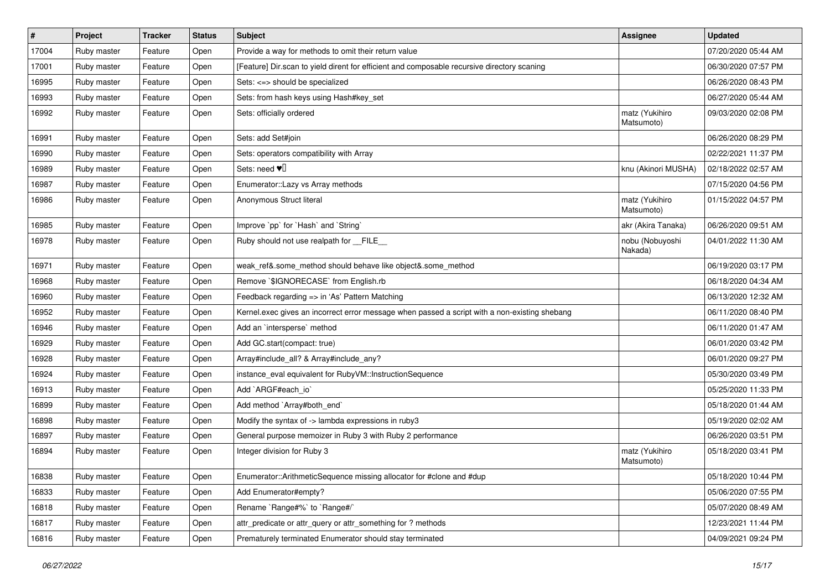| $\sharp$ | Project     | <b>Tracker</b> | <b>Status</b> | Subject                                                                                       | <b>Assignee</b>              | <b>Updated</b>      |
|----------|-------------|----------------|---------------|-----------------------------------------------------------------------------------------------|------------------------------|---------------------|
| 17004    | Ruby master | Feature        | Open          | Provide a way for methods to omit their return value                                          |                              | 07/20/2020 05:44 AM |
| 17001    | Ruby master | Feature        | Open          | [Feature] Dir.scan to yield dirent for efficient and composable recursive directory scaning   |                              | 06/30/2020 07:57 PM |
| 16995    | Ruby master | Feature        | Open          | Sets: <=> should be specialized                                                               |                              | 06/26/2020 08:43 PM |
| 16993    | Ruby master | Feature        | Open          | Sets: from hash keys using Hash#key_set                                                       |                              | 06/27/2020 05:44 AM |
| 16992    | Ruby master | Feature        | Open          | Sets: officially ordered                                                                      | matz (Yukihiro<br>Matsumoto) | 09/03/2020 02:08 PM |
| 16991    | Ruby master | Feature        | Open          | Sets: add Set#join                                                                            |                              | 06/26/2020 08:29 PM |
| 16990    | Ruby master | Feature        | Open          | Sets: operators compatibility with Array                                                      |                              | 02/22/2021 11:37 PM |
| 16989    | Ruby master | Feature        | Open          | Sets: need $\Psi$ <sup>[]</sup>                                                               | knu (Akinori MUSHA)          | 02/18/2022 02:57 AM |
| 16987    | Ruby master | Feature        | Open          | Enumerator:: Lazy vs Array methods                                                            |                              | 07/15/2020 04:56 PM |
| 16986    | Ruby master | Feature        | Open          | Anonymous Struct literal                                                                      | matz (Yukihiro<br>Matsumoto) | 01/15/2022 04:57 PM |
| 16985    | Ruby master | Feature        | Open          | Improve `pp` for `Hash` and `String`                                                          | akr (Akira Tanaka)           | 06/26/2020 09:51 AM |
| 16978    | Ruby master | Feature        | Open          | Ruby should not use realpath for __FILE__                                                     | nobu (Nobuyoshi<br>Nakada)   | 04/01/2022 11:30 AM |
| 16971    | Ruby master | Feature        | Open          | weak ref&.some method should behave like object&.some method                                  |                              | 06/19/2020 03:17 PM |
| 16968    | Ruby master | Feature        | Open          | Remove `\$IGNORECASE` from English.rb                                                         |                              | 06/18/2020 04:34 AM |
| 16960    | Ruby master | Feature        | Open          | Feedback regarding => in 'As' Pattern Matching                                                |                              | 06/13/2020 12:32 AM |
| 16952    | Ruby master | Feature        | Open          | Kernel.exec gives an incorrect error message when passed a script with a non-existing shebang |                              | 06/11/2020 08:40 PM |
| 16946    | Ruby master | Feature        | Open          | Add an 'intersperse' method                                                                   |                              | 06/11/2020 01:47 AM |
| 16929    | Ruby master | Feature        | Open          | Add GC.start(compact: true)                                                                   |                              | 06/01/2020 03:42 PM |
| 16928    | Ruby master | Feature        | Open          | Array#include_all? & Array#include_any?                                                       |                              | 06/01/2020 09:27 PM |
| 16924    | Ruby master | Feature        | Open          | instance_eval equivalent for RubyVM::InstructionSequence                                      |                              | 05/30/2020 03:49 PM |
| 16913    | Ruby master | Feature        | Open          | Add `ARGF#each_io`                                                                            |                              | 05/25/2020 11:33 PM |
| 16899    | Ruby master | Feature        | Open          | Add method `Array#both_end`                                                                   |                              | 05/18/2020 01:44 AM |
| 16898    | Ruby master | Feature        | Open          | Modify the syntax of -> lambda expressions in ruby3                                           |                              | 05/19/2020 02:02 AM |
| 16897    | Ruby master | Feature        | Open          | General purpose memoizer in Ruby 3 with Ruby 2 performance                                    |                              | 06/26/2020 03:51 PM |
| 16894    | Ruby master | Feature        | Open          | Integer division for Ruby 3                                                                   | matz (Yukihiro<br>Matsumoto) | 05/18/2020 03:41 PM |
| 16838    | Ruby master | Feature        | Open          | Enumerator::ArithmeticSequence missing allocator for #clone and #dup                          |                              | 05/18/2020 10:44 PM |
| 16833    | Ruby master | Feature        | Open          | Add Enumerator#empty?                                                                         |                              | 05/06/2020 07:55 PM |
| 16818    | Ruby master | Feature        | Open          | Rename `Range#%` to `Range#/`                                                                 |                              | 05/07/2020 08:49 AM |
| 16817    | Ruby master | Feature        | Open          | attr_predicate or attr_query or attr_something for ? methods                                  |                              | 12/23/2021 11:44 PM |
| 16816    | Ruby master | Feature        | Open          | Prematurely terminated Enumerator should stay terminated                                      |                              | 04/09/2021 09:24 PM |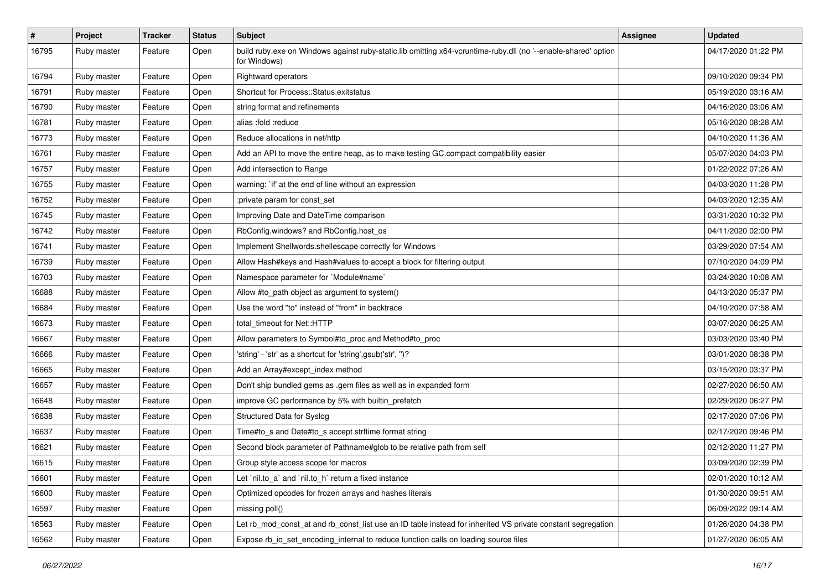| $\sharp$ | Project     | <b>Tracker</b> | <b>Status</b> | Subject                                                                                                                        | <b>Assignee</b> | <b>Updated</b>      |
|----------|-------------|----------------|---------------|--------------------------------------------------------------------------------------------------------------------------------|-----------------|---------------------|
| 16795    | Ruby master | Feature        | Open          | build ruby exe on Windows against ruby-static.lib omitting x64-vcruntime-ruby dll (no '--enable-shared' option<br>for Windows) |                 | 04/17/2020 01:22 PM |
| 16794    | Ruby master | Feature        | Open          | <b>Rightward operators</b>                                                                                                     |                 | 09/10/2020 09:34 PM |
| 16791    | Ruby master | Feature        | Open          | Shortcut for Process::Status.exitstatus                                                                                        |                 | 05/19/2020 03:16 AM |
| 16790    | Ruby master | Feature        | Open          | string format and refinements                                                                                                  |                 | 04/16/2020 03:06 AM |
| 16781    | Ruby master | Feature        | Open          | alias :fold :reduce                                                                                                            |                 | 05/16/2020 08:28 AM |
| 16773    | Ruby master | Feature        | Open          | Reduce allocations in net/http                                                                                                 |                 | 04/10/2020 11:36 AM |
| 16761    | Ruby master | Feature        | Open          | Add an API to move the entire heap, as to make testing GC.compact compatibility easier                                         |                 | 05/07/2020 04:03 PM |
| 16757    | Ruby master | Feature        | Open          | Add intersection to Range                                                                                                      |                 | 01/22/2022 07:26 AM |
| 16755    | Ruby master | Feature        | Open          | warning: `if' at the end of line without an expression                                                                         |                 | 04/03/2020 11:28 PM |
| 16752    | Ruby master | Feature        | Open          | :private param for const_set                                                                                                   |                 | 04/03/2020 12:35 AM |
| 16745    | Ruby master | Feature        | Open          | Improving Date and DateTime comparison                                                                                         |                 | 03/31/2020 10:32 PM |
| 16742    | Ruby master | Feature        | Open          | RbConfig.windows? and RbConfig.host_os                                                                                         |                 | 04/11/2020 02:00 PM |
| 16741    | Ruby master | Feature        | Open          | Implement Shellwords.shellescape correctly for Windows                                                                         |                 | 03/29/2020 07:54 AM |
| 16739    | Ruby master | Feature        | Open          | Allow Hash#keys and Hash#values to accept a block for filtering output                                                         |                 | 07/10/2020 04:09 PM |
| 16703    | Ruby master | Feature        | Open          | Namespace parameter for `Module#name`                                                                                          |                 | 03/24/2020 10:08 AM |
| 16688    | Ruby master | Feature        | Open          | Allow #to_path object as argument to system()                                                                                  |                 | 04/13/2020 05:37 PM |
| 16684    | Ruby master | Feature        | Open          | Use the word "to" instead of "from" in backtrace                                                                               |                 | 04/10/2020 07:58 AM |
| 16673    | Ruby master | Feature        | Open          | total timeout for Net::HTTP                                                                                                    |                 | 03/07/2020 06:25 AM |
| 16667    | Ruby master | Feature        | Open          | Allow parameters to Symbol#to_proc and Method#to_proc                                                                          |                 | 03/03/2020 03:40 PM |
| 16666    | Ruby master | Feature        | Open          | 'string' - 'str' as a shortcut for 'string'.gsub('str', ")?                                                                    |                 | 03/01/2020 08:38 PM |
| 16665    | Ruby master | Feature        | Open          | Add an Array#except_index method                                                                                               |                 | 03/15/2020 03:37 PM |
| 16657    | Ruby master | Feature        | Open          | Don't ship bundled gems as .gem files as well as in expanded form                                                              |                 | 02/27/2020 06:50 AM |
| 16648    | Ruby master | Feature        | Open          | improve GC performance by 5% with builtin_prefetch                                                                             |                 | 02/29/2020 06:27 PM |
| 16638    | Ruby master | Feature        | Open          | Structured Data for Syslog                                                                                                     |                 | 02/17/2020 07:06 PM |
| 16637    | Ruby master | Feature        | Open          | Time#to_s and Date#to_s accept strftime format string                                                                          |                 | 02/17/2020 09:46 PM |
| 16621    | Ruby master | Feature        | Open          | Second block parameter of Pathname#glob to be relative path from self                                                          |                 | 02/12/2020 11:27 PM |
| 16615    | Ruby master | Feature        | Open          | Group style access scope for macros                                                                                            |                 | 03/09/2020 02:39 PM |
| 16601    | Ruby master | Feature        | Open          | Let `nil.to a` and `nil.to h` return a fixed instance                                                                          |                 | 02/01/2020 10:12 AM |
| 16600    | Ruby master | Feature        | Open          | Optimized opcodes for frozen arrays and hashes literals                                                                        |                 | 01/30/2020 09:51 AM |
| 16597    | Ruby master | Feature        | Open          | missing poll()                                                                                                                 |                 | 06/09/2022 09:14 AM |
| 16563    | Ruby master | Feature        | Open          | Let rb_mod_const_at and rb_const_list use an ID table instead for inherited VS private constant segregation                    |                 | 01/26/2020 04:38 PM |
| 16562    | Ruby master | Feature        | Open          | Expose rb_io_set_encoding_internal to reduce function calls on loading source files                                            |                 | 01/27/2020 06:05 AM |